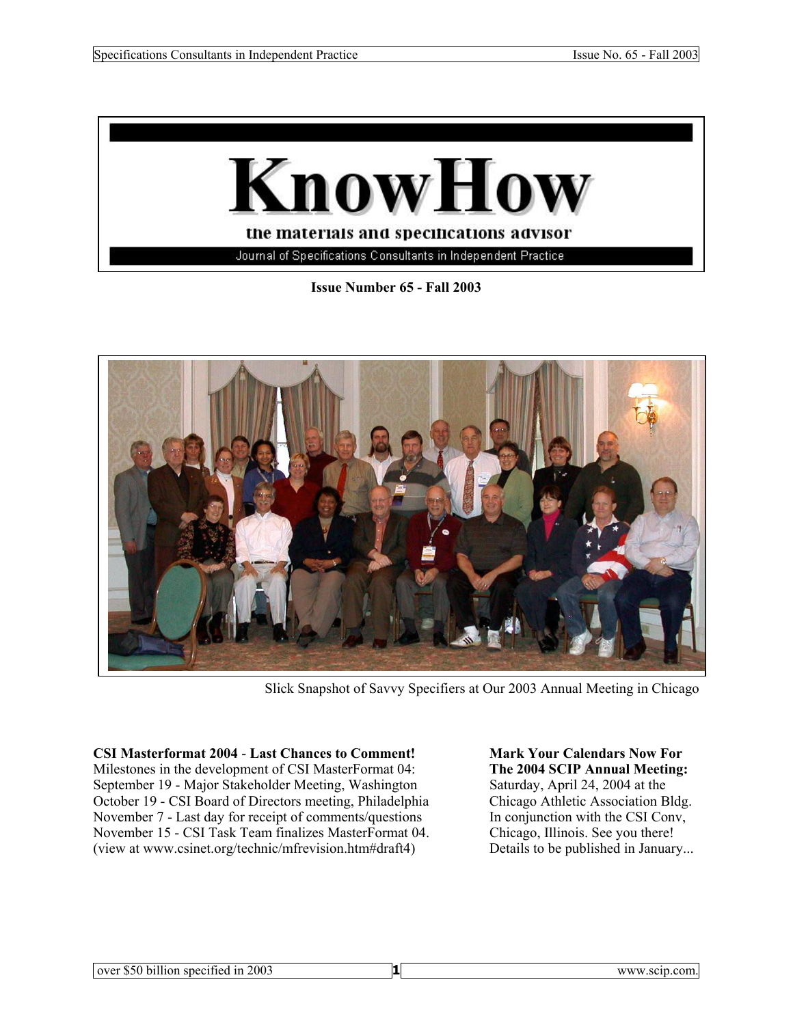

**Issue Number 65 - Fall 2003** 



Slick Snapshot of Savvy Specifiers at Our 2003 Annual Meeting in Chicago

**CSI Masterformat 2004** - **Last Chances to Comment! Mark Your Calendars Now For**  Milestones in the development of CSI MasterFormat 04: **The 2004 SCIP Annual Meeting:**  September 19 - Major Stakeholder Meeting, Washington Saturday, April 24, 2004 at the October 19 - CSI Board of Directors meeting, Philadelphia Chicago Athletic Association Bldg. November 7 - Last day for receipt of comments/questions In conjunction with the CSI Conv,<br>November 15 - CSI Task Team finalizes MasterFormat 04. Chicago, Illinois. See you there! November 15 - CSI Task Team finalizes MasterFormat 04. (view at www.csinet.org/technic/mfrevision.htm#draft4) Details to be published in January...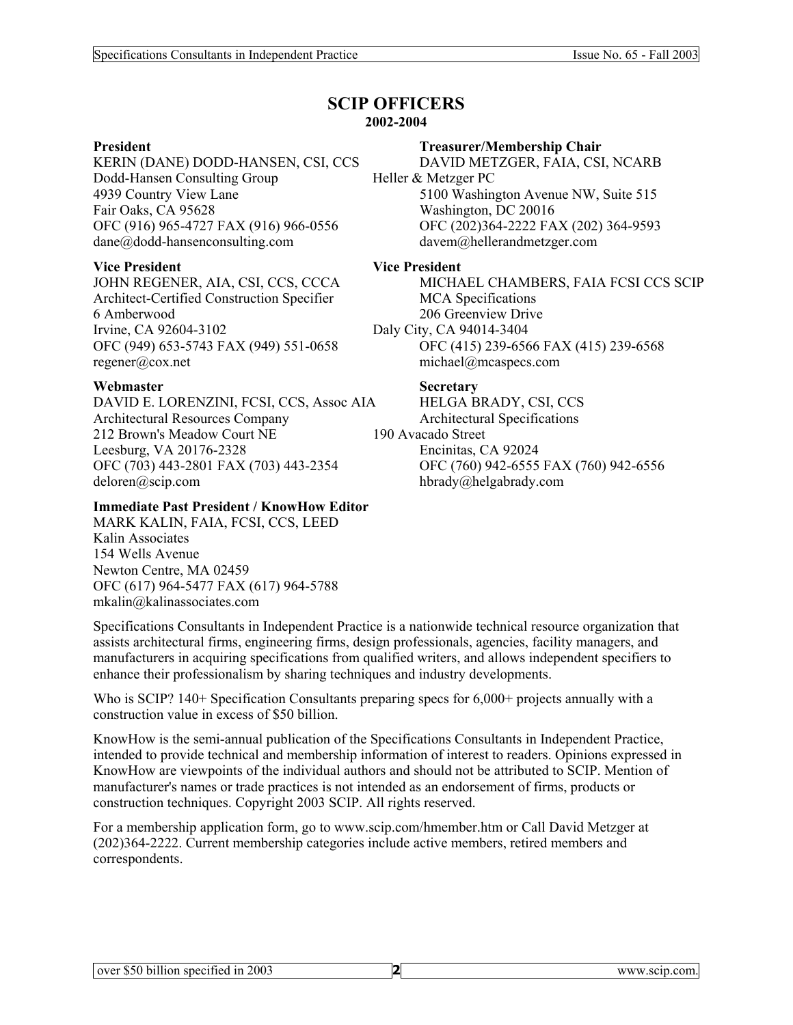### **SCIP OFFICERS 2002-2004**

**President Treasurer/Membership Chair<br>
KERIN (DANE) DODD-HANSEN, CSI, CCS DAVID METZGER, FAIA, CSI, NCARB** KERIN (DANE) DODD-HANSEN, CSI, CCS Dodd-Hansen Consulting Group Heller & Metzger PC Fair Oaks, CA 95628 Washington, DC 20016 dane@dodd-hansenconsulting.com davem@hellerandmetzger.com

## **Vice President Vice President**

Architect-Certified Construction Specifier MCA Specifications 6 Amberwood 206 Greenview Drive Irvine, CA 92604-3102 Daly City, CA 94014-3404 regener@cox.net michael@mcaspecs.com

### Webmaster Secretary

DAVID E. LORENZINI, FCSI, CCS, Assoc AIA HELGA BRADY, CSI, CCS Architectural Resources Company Architectural Specifications 212 Brown's Meadow Court NE 190 Avacado Street<br>Leesburg, VA 20176-2328 Encinitas, CA 92024 Leesburg, VA 20176-2328 OFC (703) 443-2801 FAX (703) 443-2354 OFC (760) 942-6555 FAX (760) 942-6556 deloren@scip.com hbrady@helgabrady.com

## **Immediate Past President / KnowHow Editor**

MARK KALIN, FAIA, FCSI, CCS, LEED Kalin Associates 154 Wells Avenue Newton Centre, MA 02459 OFC (617) 964-5477 FAX (617) 964-5788 mkalin@kalinassociates.com

4939 Country View Lane 5100 Washington Avenue NW, Suite 515 OFC (916) 965-4727 FAX (916) 966-0556 OFC (202)364-2222 FAX (202) 364-9593

JOHN REGENER, AIA, CSI, CCS, CCCA MICHAEL CHAMBERS, FAIA FCSI CCS SCIP OFC (949) 653-5743 FAX (949) 551-0658 OFC (415) 239-6566 FAX (415) 239-6568

Specifications Consultants in Independent Practice is a nationwide technical resource organization that assists architectural firms, engineering firms, design professionals, agencies, facility managers, and manufacturers in acquiring specifications from qualified writers, and allows independent specifiers to enhance their professionalism by sharing techniques and industry developments.

Who is SCIP? 140+ Specification Consultants preparing specs for 6,000+ projects annually with a construction value in excess of \$50 billion.

KnowHow is the semi-annual publication of the Specifications Consultants in Independent Practice, intended to provide technical and membership information of interest to readers. Opinions expressed in KnowHow are viewpoints of the individual authors and should not be attributed to SCIP. Mention of manufacturer's names or trade practices is not intended as an endorsement of firms, products or construction techniques. Copyright 2003 SCIP. All rights reserved.

For a membership application form, go to www.scip.com/hmember.htm or Call David Metzger at (202)364-2222. Current membership categories include active members, retired members and correspondents.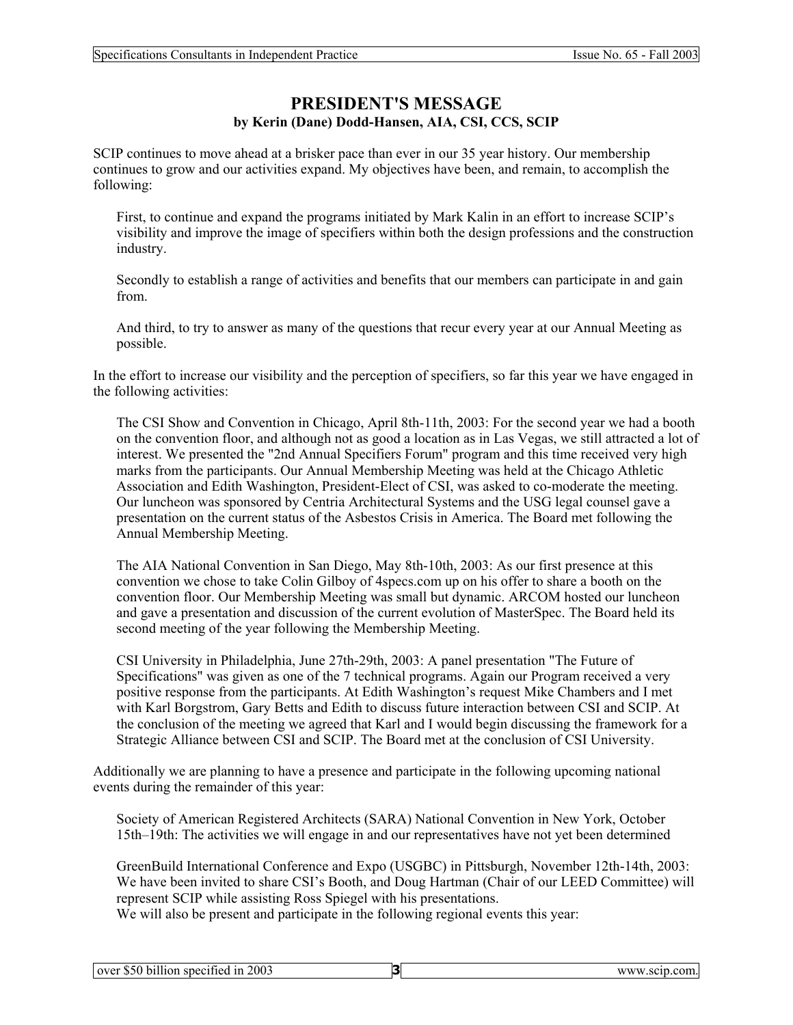# **PRESIDENT'S MESSAGE by Kerin (Dane) Dodd-Hansen, AIA, CSI, CCS, SCIP**

SCIP continues to move ahead at a brisker pace than ever in our 35 year history. Our membership continues to grow and our activities expand. My objectives have been, and remain, to accomplish the following:

First, to continue and expand the programs initiated by Mark Kalin in an effort to increase SCIP's visibility and improve the image of specifiers within both the design professions and the construction industry.

Secondly to establish a range of activities and benefits that our members can participate in and gain from.

And third, to try to answer as many of the questions that recur every year at our Annual Meeting as possible.

In the effort to increase our visibility and the perception of specifiers, so far this year we have engaged in the following activities:

The CSI Show and Convention in Chicago, April 8th-11th, 2003: For the second year we had a booth on the convention floor, and although not as good a location as in Las Vegas, we still attracted a lot of interest. We presented the "2nd Annual Specifiers Forum" program and this time received very high marks from the participants. Our Annual Membership Meeting was held at the Chicago Athletic Association and Edith Washington, President-Elect of CSI, was asked to co-moderate the meeting. Our luncheon was sponsored by Centria Architectural Systems and the USG legal counsel gave a presentation on the current status of the Asbestos Crisis in America. The Board met following the Annual Membership Meeting.

The AIA National Convention in San Diego, May 8th-10th, 2003: As our first presence at this convention we chose to take Colin Gilboy of 4specs.com up on his offer to share a booth on the convention floor. Our Membership Meeting was small but dynamic. ARCOM hosted our luncheon and gave a presentation and discussion of the current evolution of MasterSpec. The Board held its second meeting of the year following the Membership Meeting.

CSI University in Philadelphia, June 27th-29th, 2003: A panel presentation "The Future of Specifications" was given as one of the 7 technical programs. Again our Program received a very positive response from the participants. At Edith Washington's request Mike Chambers and I met with Karl Borgstrom, Gary Betts and Edith to discuss future interaction between CSI and SCIP. At the conclusion of the meeting we agreed that Karl and I would begin discussing the framework for a Strategic Alliance between CSI and SCIP. The Board met at the conclusion of CSI University.

Additionally we are planning to have a presence and participate in the following upcoming national events during the remainder of this year:

Society of American Registered Architects (SARA) National Convention in New York, October 15th–19th: The activities we will engage in and our representatives have not yet been determined

GreenBuild International Conference and Expo (USGBC) in Pittsburgh, November 12th-14th, 2003: We have been invited to share CSI's Booth, and Doug Hartman (Chair of our LEED Committee) will represent SCIP while assisting Ross Spiegel with his presentations.

We will also be present and participate in the following regional events this year:

|  | over \$50 billion specified in 2003 |
|--|-------------------------------------|
|--|-------------------------------------|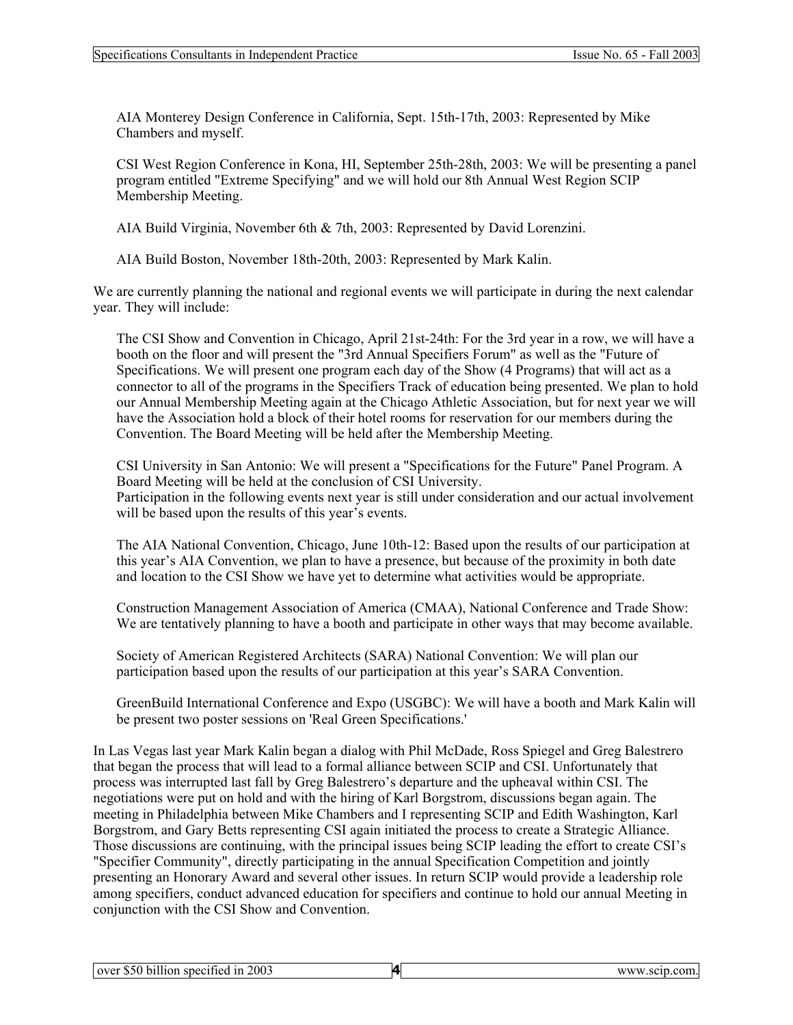AIA Monterey Design Conference in California, Sept. 15th-17th, 2003: Represented by Mike Chambers and myself.

CSI West Region Conference in Kona, HI, September 25th-28th, 2003: We will be presenting a panel program entitled "Extreme Specifying" and we will hold our 8th Annual West Region SCIP Membership Meeting.

AIA Build Virginia, November 6th & 7th, 2003: Represented by David Lorenzini.

AIA Build Boston, November 18th-20th, 2003: Represented by Mark Kalin.

We are currently planning the national and regional events we will participate in during the next calendar year. They will include:

The CSI Show and Convention in Chicago, April 21st-24th: For the 3rd year in a row, we will have a booth on the floor and will present the "3rd Annual Specifiers Forum" as well as the "Future of Specifications. We will present one program each day of the Show (4 Programs) that will act as a connector to all of the programs in the Specifiers Track of education being presented. We plan to hold our Annual Membership Meeting again at the Chicago Athletic Association, but for next year we will have the Association hold a block of their hotel rooms for reservation for our members during the Convention. The Board Meeting will be held after the Membership Meeting.

CSI University in San Antonio: We will present a "Specifications for the Future" Panel Program. A Board Meeting will be held at the conclusion of CSI University. Participation in the following events next year is still under consideration and our actual involvement will be based upon the results of this year's events.

The AIA National Convention, Chicago, June 10th-12: Based upon the results of our participation at this year's AIA Convention, we plan to have a presence, but because of the proximity in both date and location to the CSI Show we have yet to determine what activities would be appropriate.

Construction Management Association of America (CMAA), National Conference and Trade Show: We are tentatively planning to have a booth and participate in other ways that may become available.

Society of American Registered Architects (SARA) National Convention: We will plan our participation based upon the results of our participation at this year's SARA Convention.

GreenBuild International Conference and Expo (USGBC): We will have a booth and Mark Kalin will be present two poster sessions on 'Real Green Specifications.'

In Las Vegas last year Mark Kalin began a dialog with Phil McDade, Ross Spiegel and Greg Balestrero that began the process that will lead to a formal alliance between SCIP and CSI. Unfortunately that process was interrupted last fall by Greg Balestrero's departure and the upheaval within CSI. The negotiations were put on hold and with the hiring of Karl Borgstrom, discussions began again. The meeting in Philadelphia between Mike Chambers and I representing SCIP and Edith Washington, Karl Borgstrom, and Gary Betts representing CSI again initiated the process to create a Strategic Alliance. Those discussions are continuing, with the principal issues being SCIP leading the effort to create CSI's "Specifier Community", directly participating in the annual Specification Competition and jointly presenting an Honorary Award and several other issues. In return SCIP would provide a leadership role among specifiers, conduct advanced education for specifiers and continue to hold our annual Meeting in conjunction with the CSI Show and Convention.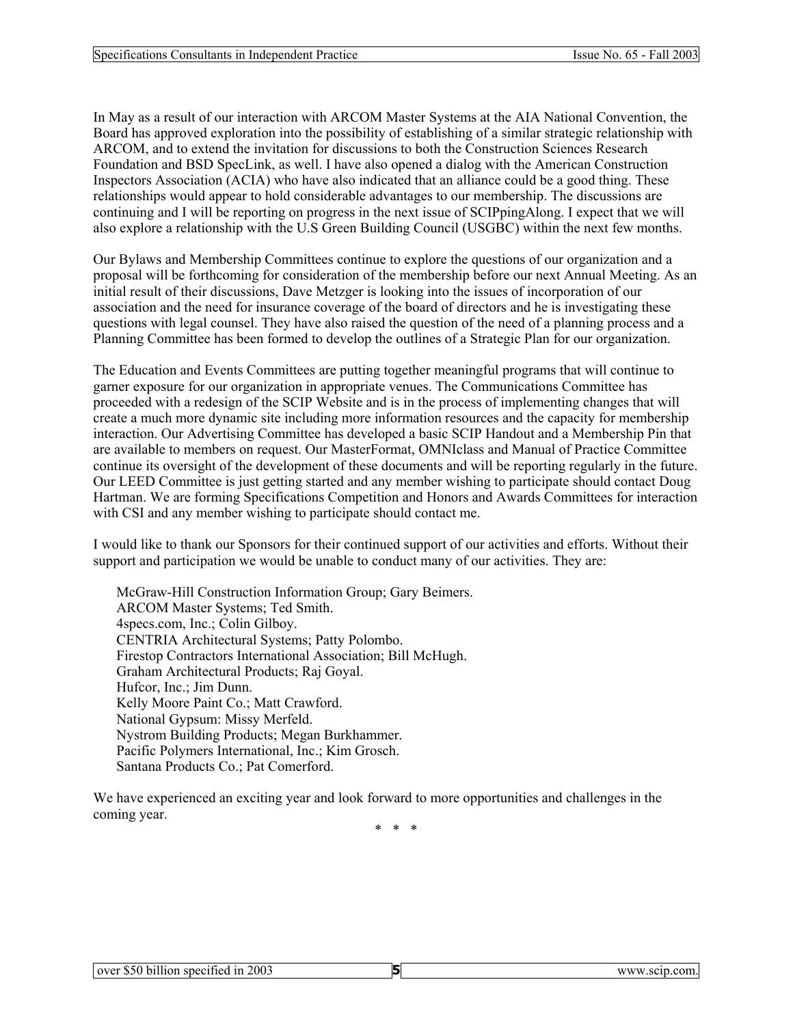In May as a result of our interaction with ARCOM Master Systems at the AIA National Convention, the Board has approved exploration into the possibility of establishing of a similar strategic relationship with ARCOM, and to extend the invitation for discussions to both the Construction Sciences Research Foundation and BSD SpecLink, as well. I have also opened a dialog with the American Construction Inspectors Association (ACIA) who have also indicated that an alliance could be a good thing. These relationships would appear to hold considerable advantages to our membership. The discussions are continuing and I will be reporting on progress in the next issue of SCIPpingAlong. I expect that we will also explore a relationship with the U.S Green Building Council (USGBC) within the next few months.

Our Bylaws and Membership Committees continue to explore the questions of our organization and a proposal will be forthcoming for consideration of the membership before our next Annual Meeting. As an initial result of their discussions, Dave Metzger is looking into the issues of incorporation of our association and the need for insurance coverage of the board of directors and he is investigating these questions with legal counsel. They have also raised the question of the need of a planning process and a Planning Committee has been formed to develop the outlines of a Strategic Plan for our organization.

The Education and Events Committees are putting together meaningful programs that will continue to garner exposure for our organization in appropriate venues. The Communications Committee has proceeded with a redesign of the SCIP Website and is in the process of implementing changes that will create a much more dynamic site including more information resources and the capacity for membership interaction. Our Advertising Committee has developed a basic SCIP Handout and a Membership Pin that are available to members on request. Our MasterFormat, OMNIclass and Manual of Practice Committee continue its oversight of the development of these documents and will be reporting regularly in the future. Our LEED Committee is just getting started and any member wishing to participate should contact Doug Hartman. We are forming Specifications Competition and Honors and Awards Committees for interaction with CSI and any member wishing to participate should contact me.

I would like to thank our Sponsors for their continued support of our activities and efforts. Without their support and participation we would be unable to conduct many of our activities. They are:

McGraw-Hill Construction Information Group; Gary Beimers. ARCOM Master Systems; Ted Smith. 4specs.com, Inc.; Colin Gilboy. CENTRIA Architectural Systems; Patty Polombo. Firestop Contractors International Association; Bill McHugh. Graham Architectural Products; Raj Goyal. Hufcor, Inc.; Jim Dunn. Kelly Moore Paint Co.; Matt Crawford. National Gypsum: Missy Merfeld. Nystrom Building Products; Megan Burkhammer. Pacific Polymers International, Inc.; Kim Grosch. Santana Products Co.; Pat Comerford.

We have experienced an exciting year and look forward to more opportunities and challenges in the coming year.

\* \* \*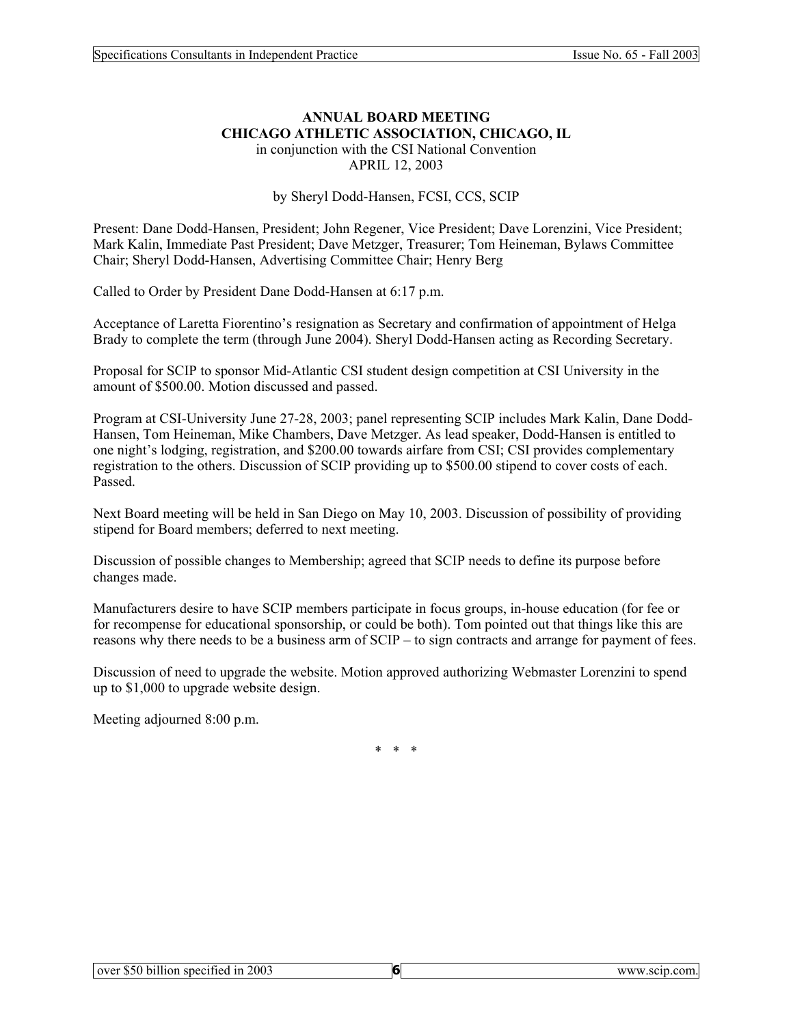#### **ANNUAL BOARD MEETING CHICAGO ATHLETIC ASSOCIATION, CHICAGO, IL**  in conjunction with the CSI National Convention

APRIL 12, 2003

by Sheryl Dodd-Hansen, FCSI, CCS, SCIP

Present: Dane Dodd-Hansen, President; John Regener, Vice President; Dave Lorenzini, Vice President; Mark Kalin, Immediate Past President; Dave Metzger, Treasurer; Tom Heineman, Bylaws Committee Chair; Sheryl Dodd-Hansen, Advertising Committee Chair; Henry Berg

Called to Order by President Dane Dodd-Hansen at 6:17 p.m.

Acceptance of Laretta Fiorentino's resignation as Secretary and confirmation of appointment of Helga Brady to complete the term (through June 2004). Sheryl Dodd-Hansen acting as Recording Secretary.

Proposal for SCIP to sponsor Mid-Atlantic CSI student design competition at CSI University in the amount of \$500.00. Motion discussed and passed.

Program at CSI-University June 27-28, 2003; panel representing SCIP includes Mark Kalin, Dane Dodd-Hansen, Tom Heineman, Mike Chambers, Dave Metzger. As lead speaker, Dodd-Hansen is entitled to one night's lodging, registration, and \$200.00 towards airfare from CSI; CSI provides complementary registration to the others. Discussion of SCIP providing up to \$500.00 stipend to cover costs of each. Passed.

Next Board meeting will be held in San Diego on May 10, 2003. Discussion of possibility of providing stipend for Board members; deferred to next meeting.

Discussion of possible changes to Membership; agreed that SCIP needs to define its purpose before changes made.

Manufacturers desire to have SCIP members participate in focus groups, in-house education (for fee or for recompense for educational sponsorship, or could be both). Tom pointed out that things like this are reasons why there needs to be a business arm of SCIP – to sign contracts and arrange for payment of fees.

Discussion of need to upgrade the website. Motion approved authorizing Webmaster Lorenzini to spend up to \$1,000 to upgrade website design.

Meeting adjourned 8:00 p.m.

\* \* \*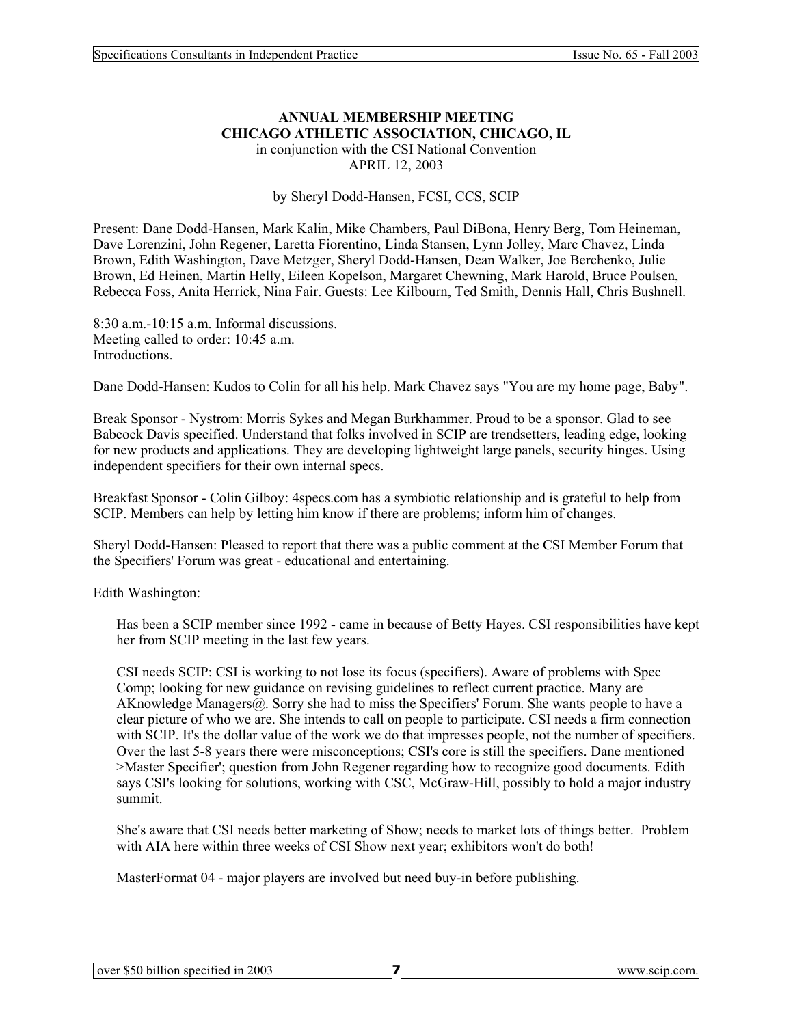## **ANNUAL MEMBERSHIP MEETING CHICAGO ATHLETIC ASSOCIATION, CHICAGO, IL**  in conjunction with the CSI National Convention

APRIL 12, 2003

#### by Sheryl Dodd-Hansen, FCSI, CCS, SCIP

Present: Dane Dodd-Hansen, Mark Kalin, Mike Chambers, Paul DiBona, Henry Berg, Tom Heineman, Dave Lorenzini, John Regener, Laretta Fiorentino, Linda Stansen, Lynn Jolley, Marc Chavez, Linda Brown, Edith Washington, Dave Metzger, Sheryl Dodd-Hansen, Dean Walker, Joe Berchenko, Julie Brown, Ed Heinen, Martin Helly, Eileen Kopelson, Margaret Chewning, Mark Harold, Bruce Poulsen, Rebecca Foss, Anita Herrick, Nina Fair. Guests: Lee Kilbourn, Ted Smith, Dennis Hall, Chris Bushnell.

8:30 a.m.-10:15 a.m. Informal discussions. Meeting called to order: 10:45 a.m. Introductions.

Dane Dodd-Hansen: Kudos to Colin for all his help. Mark Chavez says "You are my home page, Baby".

Break Sponsor - Nystrom: Morris Sykes and Megan Burkhammer. Proud to be a sponsor. Glad to see Babcock Davis specified. Understand that folks involved in SCIP are trendsetters, leading edge, looking for new products and applications. They are developing lightweight large panels, security hinges. Using independent specifiers for their own internal specs.

Breakfast Sponsor - Colin Gilboy: 4specs.com has a symbiotic relationship and is grateful to help from SCIP. Members can help by letting him know if there are problems; inform him of changes.

Sheryl Dodd-Hansen: Pleased to report that there was a public comment at the CSI Member Forum that the Specifiers' Forum was great - educational and entertaining.

Edith Washington:

Has been a SCIP member since 1992 - came in because of Betty Hayes. CSI responsibilities have kept her from SCIP meeting in the last few years.

CSI needs SCIP: CSI is working to not lose its focus (specifiers). Aware of problems with Spec Comp; looking for new guidance on revising guidelines to reflect current practice. Many are AKnowledge Managers $(a)$ . Sorry she had to miss the Specifiers' Forum. She wants people to have a clear picture of who we are. She intends to call on people to participate. CSI needs a firm connection with SCIP. It's the dollar value of the work we do that impresses people, not the number of specifiers. Over the last 5-8 years there were misconceptions; CSI's core is still the specifiers. Dane mentioned >Master Specifier'; question from John Regener regarding how to recognize good documents. Edith says CSI's looking for solutions, working with CSC, McGraw-Hill, possibly to hold a major industry summit.

She's aware that CSI needs better marketing of Show; needs to market lots of things better. Problem with AIA here within three weeks of CSI Show next year; exhibitors won't do both!

MasterFormat 04 - major players are involved but need buy-in before publishing.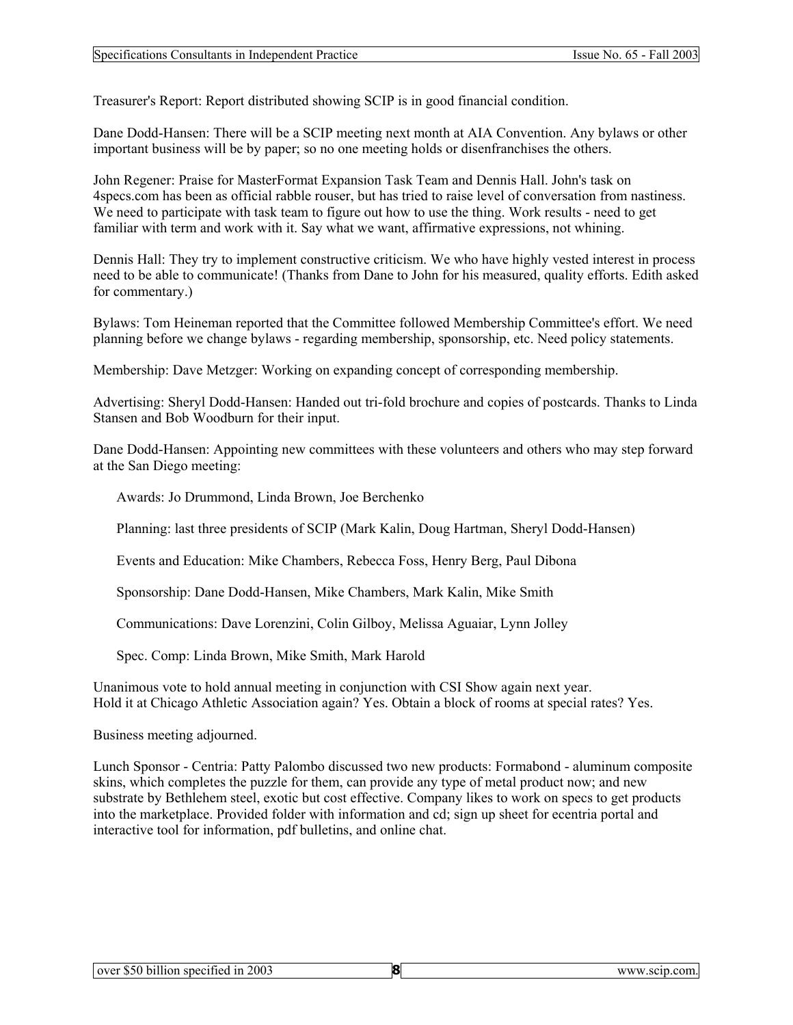Treasurer's Report: Report distributed showing SCIP is in good financial condition.

Dane Dodd-Hansen: There will be a SCIP meeting next month at AIA Convention. Any bylaws or other important business will be by paper; so no one meeting holds or disenfranchises the others.

John Regener: Praise for MasterFormat Expansion Task Team and Dennis Hall. John's task on 4specs.com has been as official rabble rouser, but has tried to raise level of conversation from nastiness. We need to participate with task team to figure out how to use the thing. Work results - need to get familiar with term and work with it. Say what we want, affirmative expressions, not whining.

Dennis Hall: They try to implement constructive criticism. We who have highly vested interest in process need to be able to communicate! (Thanks from Dane to John for his measured, quality efforts. Edith asked for commentary.)

Bylaws: Tom Heineman reported that the Committee followed Membership Committee's effort. We need planning before we change bylaws - regarding membership, sponsorship, etc. Need policy statements.

Membership: Dave Metzger: Working on expanding concept of corresponding membership.

Advertising: Sheryl Dodd-Hansen: Handed out tri-fold brochure and copies of postcards. Thanks to Linda Stansen and Bob Woodburn for their input.

Dane Dodd-Hansen: Appointing new committees with these volunteers and others who may step forward at the San Diego meeting:

Awards: Jo Drummond, Linda Brown, Joe Berchenko

Planning: last three presidents of SCIP (Mark Kalin, Doug Hartman, Sheryl Dodd-Hansen)

Events and Education: Mike Chambers, Rebecca Foss, Henry Berg, Paul Dibona

Sponsorship: Dane Dodd-Hansen, Mike Chambers, Mark Kalin, Mike Smith

Communications: Dave Lorenzini, Colin Gilboy, Melissa Aguaiar, Lynn Jolley

Spec. Comp: Linda Brown, Mike Smith, Mark Harold

Unanimous vote to hold annual meeting in conjunction with CSI Show again next year. Hold it at Chicago Athletic Association again? Yes. Obtain a block of rooms at special rates? Yes.

Business meeting adjourned.

Lunch Sponsor - Centria: Patty Palombo discussed two new products: Formabond - aluminum composite skins, which completes the puzzle for them, can provide any type of metal product now; and new substrate by Bethlehem steel, exotic but cost effective. Company likes to work on specs to get products into the marketplace. Provided folder with information and cd; sign up sheet for ecentria portal and interactive tool for information, pdf bulletins, and online chat.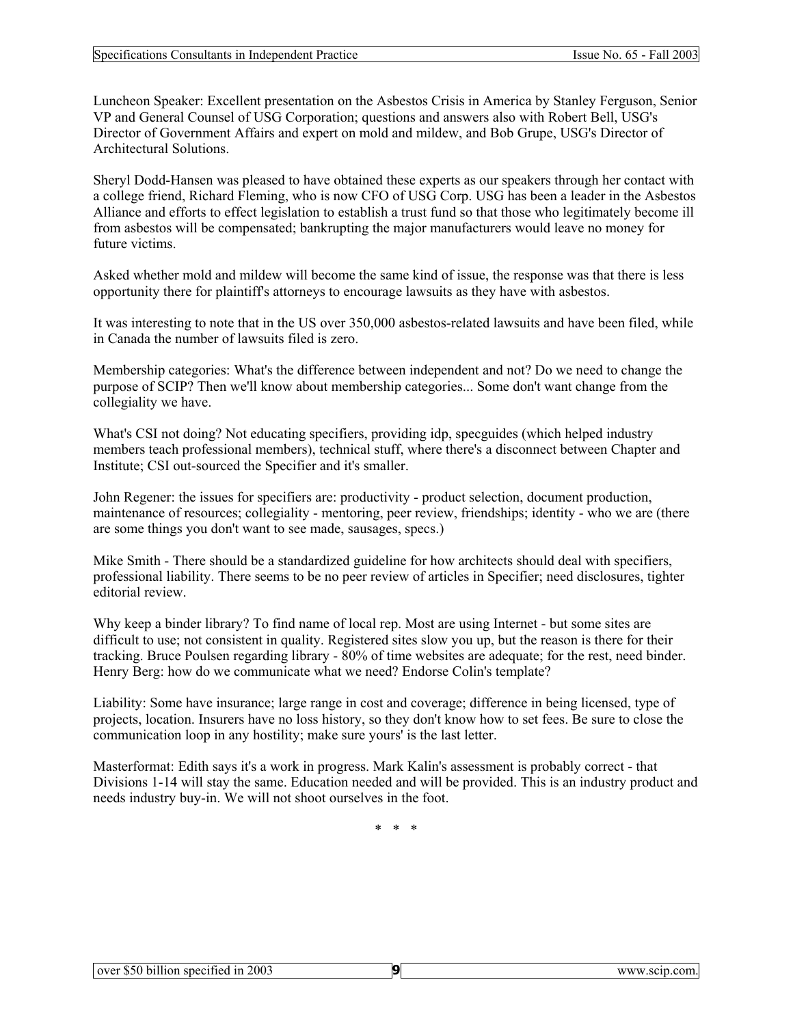Luncheon Speaker: Excellent presentation on the Asbestos Crisis in America by Stanley Ferguson, Senior VP and General Counsel of USG Corporation; questions and answers also with Robert Bell, USG's Director of Government Affairs and expert on mold and mildew, and Bob Grupe, USG's Director of Architectural Solutions.

Sheryl Dodd-Hansen was pleased to have obtained these experts as our speakers through her contact with a college friend, Richard Fleming, who is now CFO of USG Corp. USG has been a leader in the Asbestos Alliance and efforts to effect legislation to establish a trust fund so that those who legitimately become ill from asbestos will be compensated; bankrupting the major manufacturers would leave no money for future victims.

Asked whether mold and mildew will become the same kind of issue, the response was that there is less opportunity there for plaintiff's attorneys to encourage lawsuits as they have with asbestos.

It was interesting to note that in the US over 350,000 asbestos-related lawsuits and have been filed, while in Canada the number of lawsuits filed is zero.

Membership categories: What's the difference between independent and not? Do we need to change the purpose of SCIP? Then we'll know about membership categories... Some don't want change from the collegiality we have.

What's CSI not doing? Not educating specifiers, providing idp, specguides (which helped industry members teach professional members), technical stuff, where there's a disconnect between Chapter and Institute; CSI out-sourced the Specifier and it's smaller.

John Regener: the issues for specifiers are: productivity - product selection, document production, maintenance of resources; collegiality - mentoring, peer review, friendships; identity - who we are (there are some things you don't want to see made, sausages, specs.)

Mike Smith - There should be a standardized guideline for how architects should deal with specifiers, professional liability. There seems to be no peer review of articles in Specifier; need disclosures, tighter editorial review.

Why keep a binder library? To find name of local rep. Most are using Internet - but some sites are difficult to use; not consistent in quality. Registered sites slow you up, but the reason is there for their tracking. Bruce Poulsen regarding library - 80% of time websites are adequate; for the rest, need binder. Henry Berg: how do we communicate what we need? Endorse Colin's template?

Liability: Some have insurance; large range in cost and coverage; difference in being licensed, type of projects, location. Insurers have no loss history, so they don't know how to set fees. Be sure to close the communication loop in any hostility; make sure yours' is the last letter.

Masterformat: Edith says it's a work in progress. Mark Kalin's assessment is probably correct - that Divisions 1-14 will stay the same. Education needed and will be provided. This is an industry product and needs industry buy-in. We will not shoot ourselves in the foot.

\* \* \*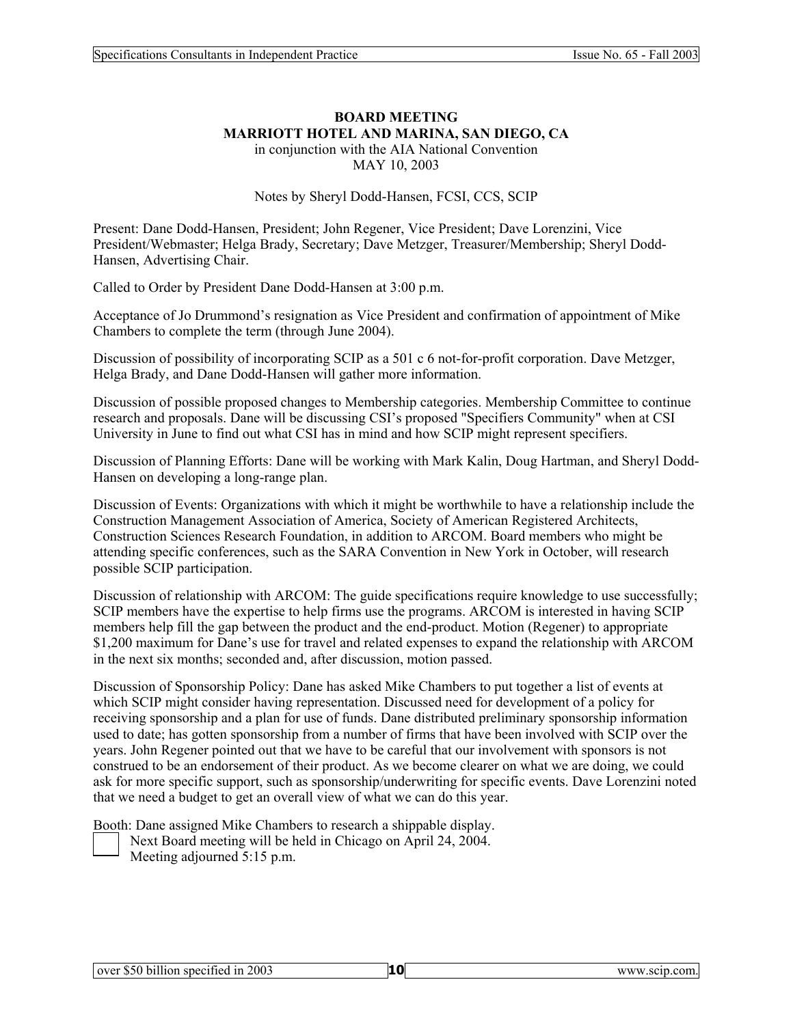#### **BOARD MEETING MARRIOTT HOTEL AND MARINA, SAN DIEGO, CA**  in conjunction with the AIA National Convention

MAY 10, 2003

Notes by Sheryl Dodd-Hansen, FCSI, CCS, SCIP

Present: Dane Dodd-Hansen, President; John Regener, Vice President; Dave Lorenzini, Vice President/Webmaster; Helga Brady, Secretary; Dave Metzger, Treasurer/Membership; Sheryl Dodd-Hansen, Advertising Chair.

Called to Order by President Dane Dodd-Hansen at 3:00 p.m.

Acceptance of Jo Drummond's resignation as Vice President and confirmation of appointment of Mike Chambers to complete the term (through June 2004).

Discussion of possibility of incorporating SCIP as a 501 c 6 not-for-profit corporation. Dave Metzger, Helga Brady, and Dane Dodd-Hansen will gather more information.

Discussion of possible proposed changes to Membership categories. Membership Committee to continue research and proposals. Dane will be discussing CSI's proposed "Specifiers Community" when at CSI University in June to find out what CSI has in mind and how SCIP might represent specifiers.

Discussion of Planning Efforts: Dane will be working with Mark Kalin, Doug Hartman, and Sheryl Dodd-Hansen on developing a long-range plan.

Discussion of Events: Organizations with which it might be worthwhile to have a relationship include the Construction Management Association of America, Society of American Registered Architects, Construction Sciences Research Foundation, in addition to ARCOM. Board members who might be attending specific conferences, such as the SARA Convention in New York in October, will research possible SCIP participation.

Discussion of relationship with ARCOM: The guide specifications require knowledge to use successfully; SCIP members have the expertise to help firms use the programs. ARCOM is interested in having SCIP members help fill the gap between the product and the end-product. Motion (Regener) to appropriate \$1,200 maximum for Dane's use for travel and related expenses to expand the relationship with ARCOM in the next six months; seconded and, after discussion, motion passed.

Discussion of Sponsorship Policy: Dane has asked Mike Chambers to put together a list of events at which SCIP might consider having representation. Discussed need for development of a policy for receiving sponsorship and a plan for use of funds. Dane distributed preliminary sponsorship information used to date; has gotten sponsorship from a number of firms that have been involved with SCIP over the years. John Regener pointed out that we have to be careful that our involvement with sponsors is not construed to be an endorsement of their product. As we become clearer on what we are doing, we could ask for more specific support, such as sponsorship/underwriting for specific events. Dave Lorenzini noted that we need a budget to get an overall view of what we can do this year.

Booth: Dane assigned Mike Chambers to research a shippable display.

- Next Board meeting will be held in Chicago on April 24, 2004.
- Meeting adjourned 5:15 p.m.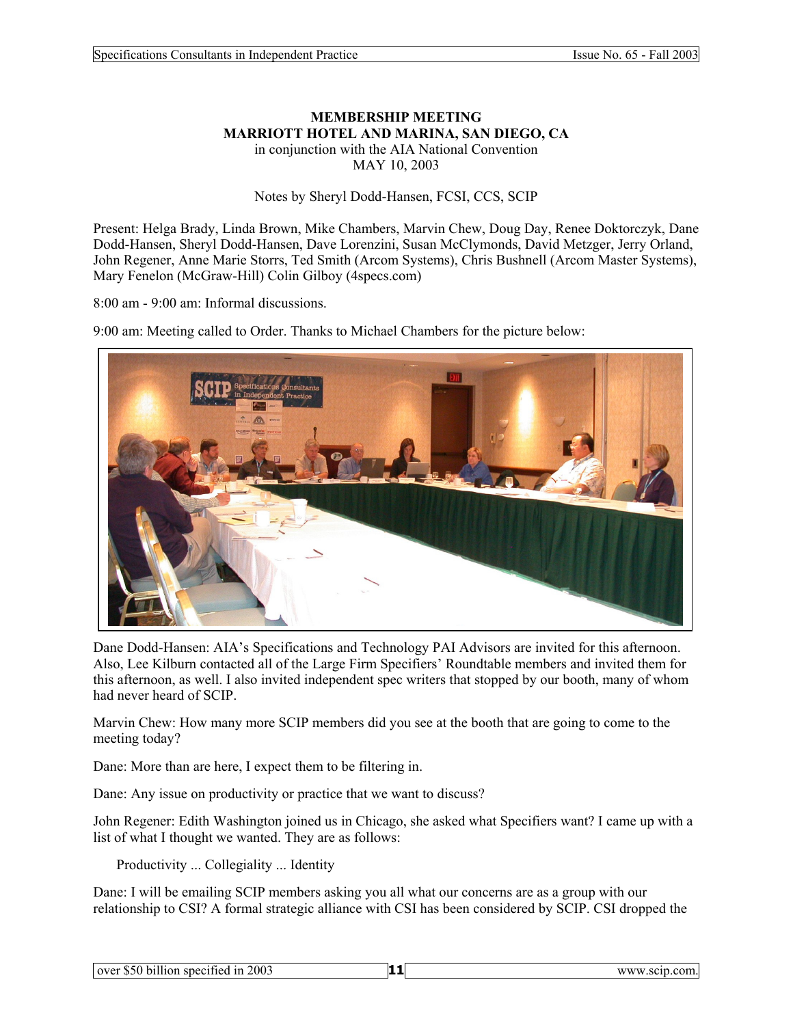#### **MEMBERSHIP MEETING MARRIOTT HOTEL AND MARINA, SAN DIEGO, CA**  in conjunction with the AIA National Convention MAY 10, 2003

Notes by Sheryl Dodd-Hansen, FCSI, CCS, SCIP

Present: Helga Brady, Linda Brown, Mike Chambers, Marvin Chew, Doug Day, Renee Doktorczyk, Dane Dodd-Hansen, Sheryl Dodd-Hansen, Dave Lorenzini, Susan McClymonds, David Metzger, Jerry Orland, John Regener, Anne Marie Storrs, Ted Smith (Arcom Systems), Chris Bushnell (Arcom Master Systems), Mary Fenelon (McGraw-Hill) Colin Gilboy (4specs.com)

8:00 am - 9:00 am: Informal discussions.

9:00 am: Meeting called to Order. Thanks to Michael Chambers for the picture below:



Dane Dodd-Hansen: AIA's Specifications and Technology PAI Advisors are invited for this afternoon. Also, Lee Kilburn contacted all of the Large Firm Specifiers' Roundtable members and invited them for this afternoon, as well. I also invited independent spec writers that stopped by our booth, many of whom had never heard of SCIP.

Marvin Chew: How many more SCIP members did you see at the booth that are going to come to the meeting today?

Dane: More than are here, I expect them to be filtering in.

Dane: Any issue on productivity or practice that we want to discuss?

John Regener: Edith Washington joined us in Chicago, she asked what Specifiers want? I came up with a list of what I thought we wanted. They are as follows:

Productivity ... Collegiality ... Identity

Dane: I will be emailing SCIP members asking you all what our concerns are as a group with our relationship to CSI? A formal strategic alliance with CSI has been considered by SCIP. CSI dropped the

| over \$50 billion<br>specified in 2003 | www.scip.com. |  |
|----------------------------------------|---------------|--|
|                                        |               |  |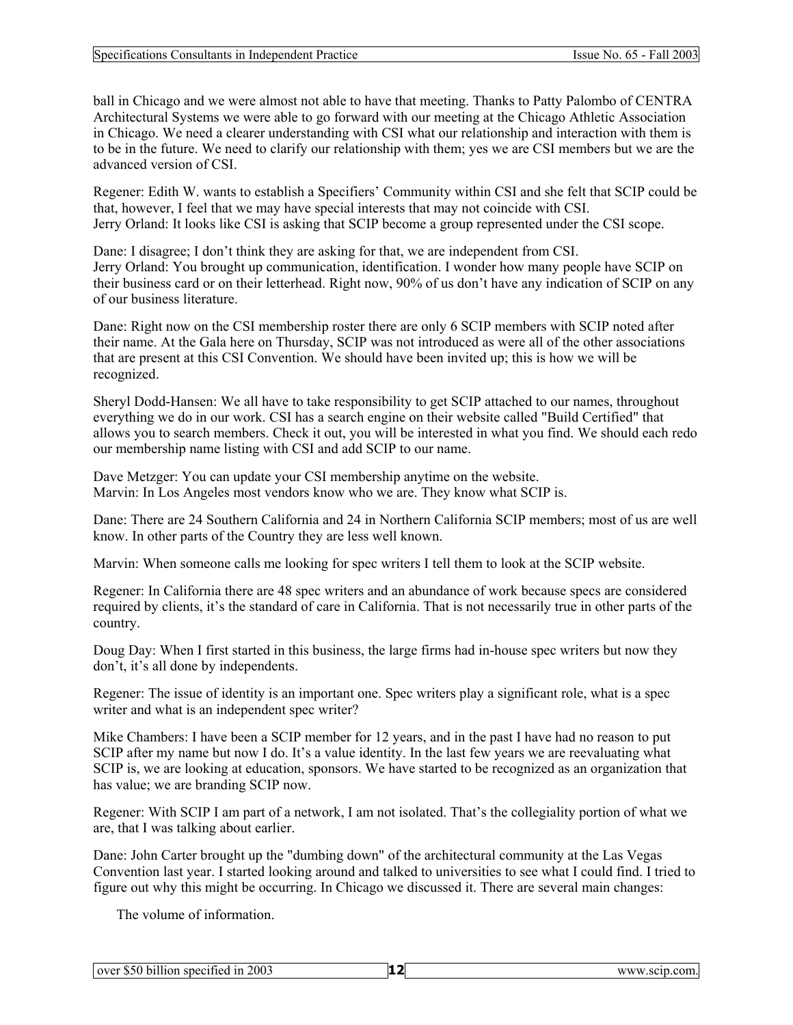ball in Chicago and we were almost not able to have that meeting. Thanks to Patty Palombo of CENTRA Architectural Systems we were able to go forward with our meeting at the Chicago Athletic Association in Chicago. We need a clearer understanding with CSI what our relationship and interaction with them is to be in the future. We need to clarify our relationship with them; yes we are CSI members but we are the advanced version of CSI.

Regener: Edith W. wants to establish a Specifiers' Community within CSI and she felt that SCIP could be that, however, I feel that we may have special interests that may not coincide with CSI. Jerry Orland: It looks like CSI is asking that SCIP become a group represented under the CSI scope.

Dane: I disagree; I don't think they are asking for that, we are independent from CSI. Jerry Orland: You brought up communication, identification. I wonder how many people have SCIP on their business card or on their letterhead. Right now, 90% of us don't have any indication of SCIP on any of our business literature.

Dane: Right now on the CSI membership roster there are only 6 SCIP members with SCIP noted after their name. At the Gala here on Thursday, SCIP was not introduced as were all of the other associations that are present at this CSI Convention. We should have been invited up; this is how we will be recognized.

Sheryl Dodd-Hansen: We all have to take responsibility to get SCIP attached to our names, throughout everything we do in our work. CSI has a search engine on their website called "Build Certified" that allows you to search members. Check it out, you will be interested in what you find. We should each redo our membership name listing with CSI and add SCIP to our name.

Dave Metzger: You can update your CSI membership anytime on the website. Marvin: In Los Angeles most vendors know who we are. They know what SCIP is.

Dane: There are 24 Southern California and 24 in Northern California SCIP members; most of us are well know. In other parts of the Country they are less well known.

Marvin: When someone calls me looking for spec writers I tell them to look at the SCIP website.

Regener: In California there are 48 spec writers and an abundance of work because specs are considered required by clients, it's the standard of care in California. That is not necessarily true in other parts of the country.

Doug Day: When I first started in this business, the large firms had in-house spec writers but now they don't, it's all done by independents.

Regener: The issue of identity is an important one. Spec writers play a significant role, what is a spec writer and what is an independent spec writer?

Mike Chambers: I have been a SCIP member for 12 years, and in the past I have had no reason to put SCIP after my name but now I do. It's a value identity. In the last few years we are reevaluating what SCIP is, we are looking at education, sponsors. We have started to be recognized as an organization that has value; we are branding SCIP now.

Regener: With SCIP I am part of a network, I am not isolated. That's the collegiality portion of what we are, that I was talking about earlier.

Dane: John Carter brought up the "dumbing down" of the architectural community at the Las Vegas Convention last year. I started looking around and talked to universities to see what I could find. I tried to figure out why this might be occurring. In Chicago we discussed it. There are several main changes:

The volume of information.

| $\cdots$<br>lover \$50 billion<br>specified in 2003 | <br>www.scip.com. |  |
|-----------------------------------------------------|-------------------|--|
|                                                     |                   |  |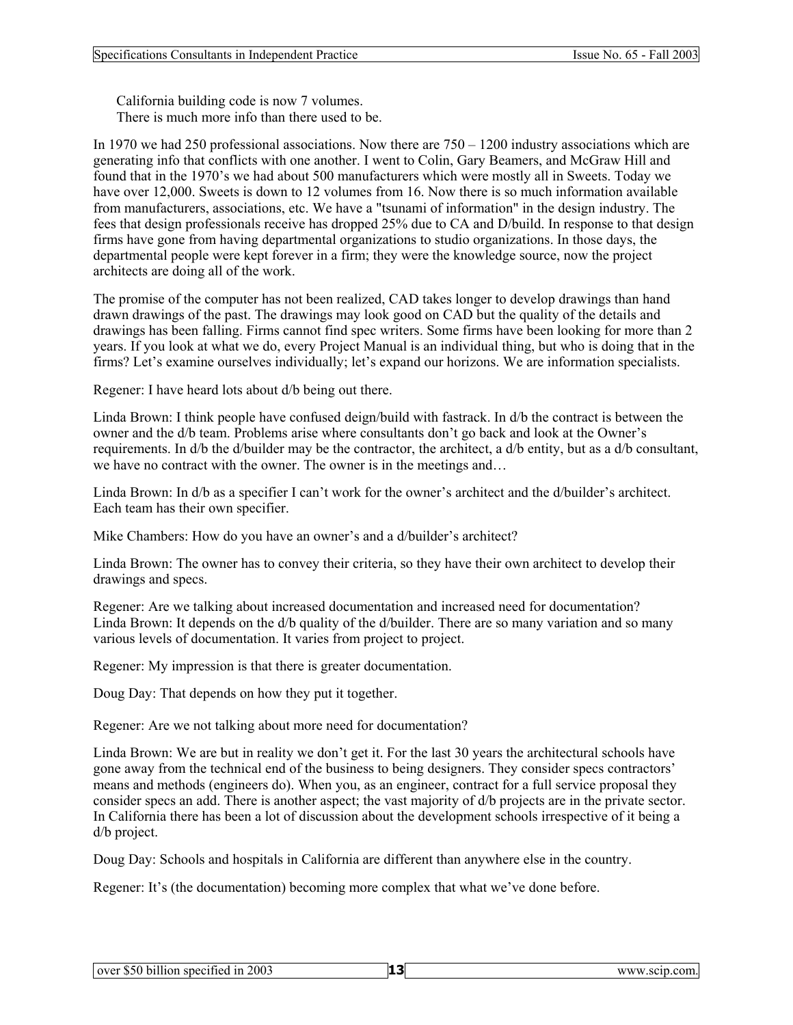California building code is now 7 volumes. There is much more info than there used to be.

In 1970 we had 250 professional associations. Now there are 750 – 1200 industry associations which are generating info that conflicts with one another. I went to Colin, Gary Beamers, and McGraw Hill and found that in the 1970's we had about 500 manufacturers which were mostly all in Sweets. Today we have over 12,000. Sweets is down to 12 volumes from 16. Now there is so much information available from manufacturers, associations, etc. We have a "tsunami of information" in the design industry. The fees that design professionals receive has dropped 25% due to CA and D/build. In response to that design firms have gone from having departmental organizations to studio organizations. In those days, the departmental people were kept forever in a firm; they were the knowledge source, now the project architects are doing all of the work.

The promise of the computer has not been realized, CAD takes longer to develop drawings than hand drawn drawings of the past. The drawings may look good on CAD but the quality of the details and drawings has been falling. Firms cannot find spec writers. Some firms have been looking for more than 2 years. If you look at what we do, every Project Manual is an individual thing, but who is doing that in the firms? Let's examine ourselves individually; let's expand our horizons. We are information specialists.

Regener: I have heard lots about d/b being out there.

Linda Brown: I think people have confused deign/build with fastrack. In d/b the contract is between the owner and the d/b team. Problems arise where consultants don't go back and look at the Owner's requirements. In d/b the d/builder may be the contractor, the architect, a d/b entity, but as a d/b consultant, we have no contract with the owner. The owner is in the meetings and...

Linda Brown: In d/b as a specifier I can't work for the owner's architect and the d/builder's architect. Each team has their own specifier.

Mike Chambers: How do you have an owner's and a d/builder's architect?

Linda Brown: The owner has to convey their criteria, so they have their own architect to develop their drawings and specs.

Regener: Are we talking about increased documentation and increased need for documentation? Linda Brown: It depends on the d/b quality of the d/builder. There are so many variation and so many various levels of documentation. It varies from project to project.

Regener: My impression is that there is greater documentation.

Doug Day: That depends on how they put it together.

Regener: Are we not talking about more need for documentation?

Linda Brown: We are but in reality we don't get it. For the last 30 years the architectural schools have gone away from the technical end of the business to being designers. They consider specs contractors' means and methods (engineers do). When you, as an engineer, contract for a full service proposal they consider specs an add. There is another aspect; the vast majority of d/b projects are in the private sector. In California there has been a lot of discussion about the development schools irrespective of it being a d/b project.

Doug Day: Schools and hospitals in California are different than anywhere else in the country.

Regener: It's (the documentation) becoming more complex that what we've done before.

| over \$50 billion specified in 2003 |  | www.scip.com. |  |
|-------------------------------------|--|---------------|--|
|                                     |  |               |  |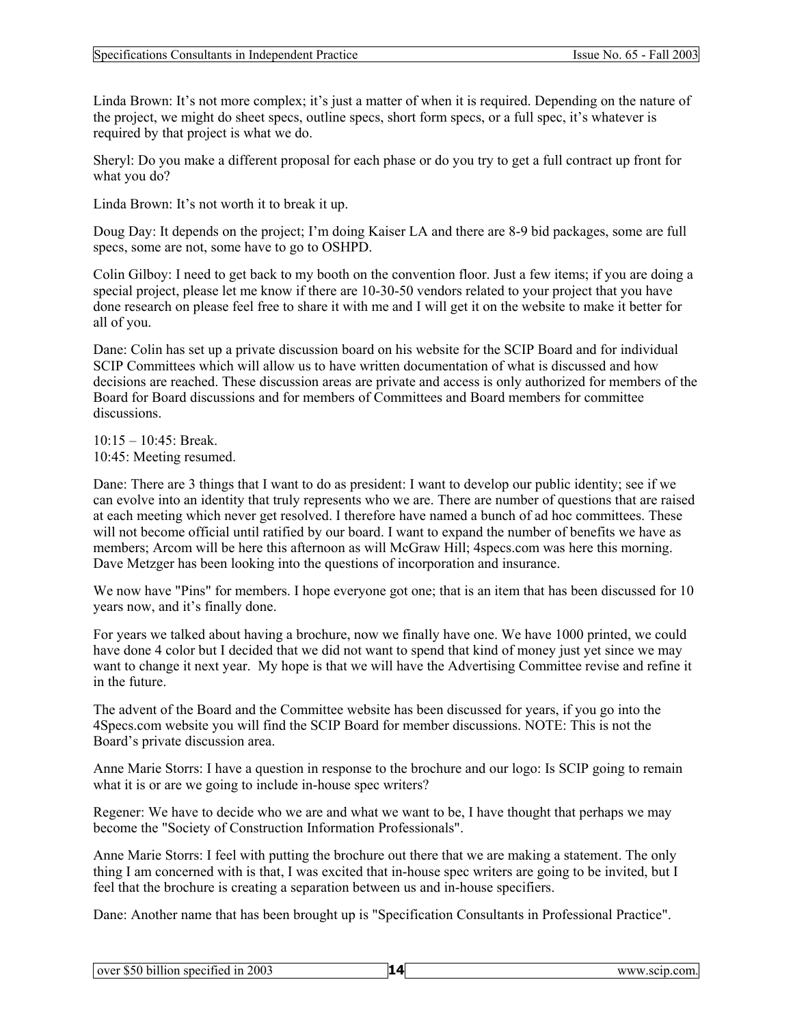Linda Brown: It's not more complex; it's just a matter of when it is required. Depending on the nature of the project, we might do sheet specs, outline specs, short form specs, or a full spec, it's whatever is required by that project is what we do.

Sheryl: Do you make a different proposal for each phase or do you try to get a full contract up front for what you do?

Linda Brown: It's not worth it to break it up.

Doug Day: It depends on the project; I'm doing Kaiser LA and there are 8-9 bid packages, some are full specs, some are not, some have to go to OSHPD.

Colin Gilboy: I need to get back to my booth on the convention floor. Just a few items; if you are doing a special project, please let me know if there are 10-30-50 vendors related to your project that you have done research on please feel free to share it with me and I will get it on the website to make it better for all of you.

Dane: Colin has set up a private discussion board on his website for the SCIP Board and for individual SCIP Committees which will allow us to have written documentation of what is discussed and how decisions are reached. These discussion areas are private and access is only authorized for members of the Board for Board discussions and for members of Committees and Board members for committee discussions.

10:15 – 10:45: Break.

10:45: Meeting resumed.

Dane: There are 3 things that I want to do as president: I want to develop our public identity; see if we can evolve into an identity that truly represents who we are. There are number of questions that are raised at each meeting which never get resolved. I therefore have named a bunch of ad hoc committees. These will not become official until ratified by our board. I want to expand the number of benefits we have as members; Arcom will be here this afternoon as will McGraw Hill; 4specs.com was here this morning. Dave Metzger has been looking into the questions of incorporation and insurance.

We now have "Pins" for members. I hope everyone got one; that is an item that has been discussed for 10 years now, and it's finally done.

For years we talked about having a brochure, now we finally have one. We have 1000 printed, we could have done 4 color but I decided that we did not want to spend that kind of money just yet since we may want to change it next year. My hope is that we will have the Advertising Committee revise and refine it in the future.

The advent of the Board and the Committee website has been discussed for years, if you go into the 4Specs.com website you will find the SCIP Board for member discussions. NOTE: This is not the Board's private discussion area.

Anne Marie Storrs: I have a question in response to the brochure and our logo: Is SCIP going to remain what it is or are we going to include in-house spec writers?

Regener: We have to decide who we are and what we want to be, I have thought that perhaps we may become the "Society of Construction Information Professionals".

Anne Marie Storrs: I feel with putting the brochure out there that we are making a statement. The only thing I am concerned with is that, I was excited that in-house spec writers are going to be invited, but I feel that the brochure is creating a separation between us and in-house specifiers.

Dane: Another name that has been brought up is "Specification Consultants in Professional Practice".

| .<br>specified in 2003<br>over \$50 billion | $\boldsymbol{\Lambda}$ | www.scip.com. |  |
|---------------------------------------------|------------------------|---------------|--|
|                                             |                        |               |  |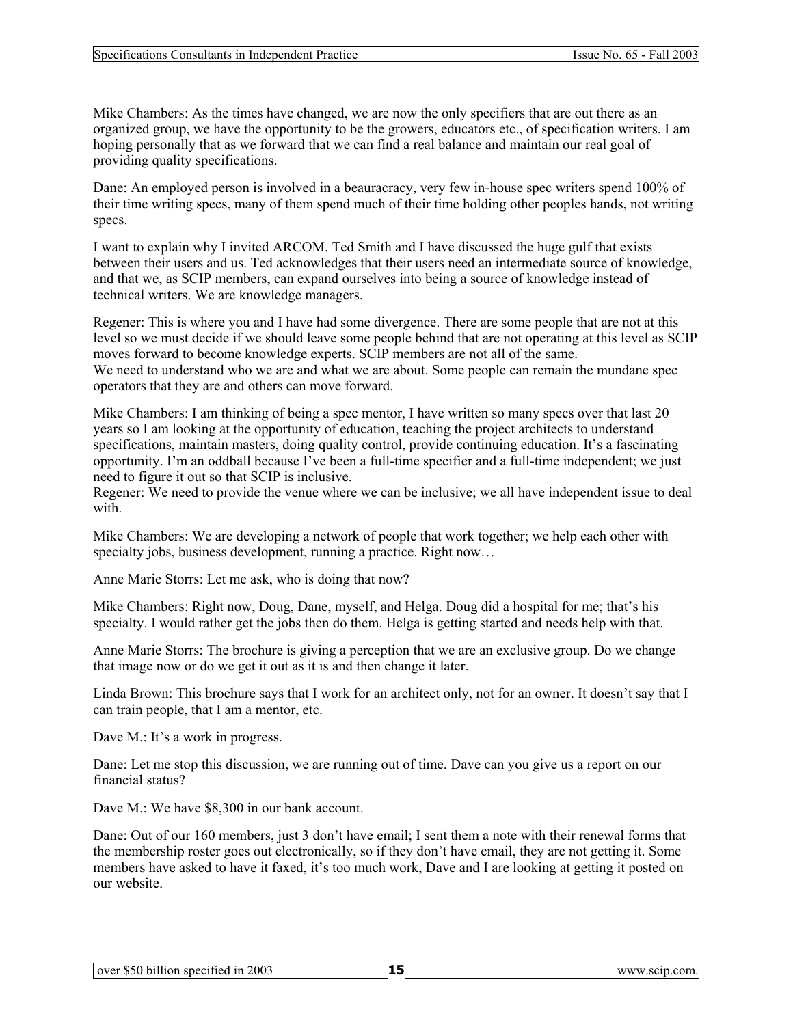Mike Chambers: As the times have changed, we are now the only specifiers that are out there as an organized group, we have the opportunity to be the growers, educators etc., of specification writers. I am hoping personally that as we forward that we can find a real balance and maintain our real goal of providing quality specifications.

Dane: An employed person is involved in a beauracracy, very few in-house spec writers spend 100% of their time writing specs, many of them spend much of their time holding other peoples hands, not writing specs.

I want to explain why I invited ARCOM. Ted Smith and I have discussed the huge gulf that exists between their users and us. Ted acknowledges that their users need an intermediate source of knowledge, and that we, as SCIP members, can expand ourselves into being a source of knowledge instead of technical writers. We are knowledge managers.

Regener: This is where you and I have had some divergence. There are some people that are not at this level so we must decide if we should leave some people behind that are not operating at this level as SCIP moves forward to become knowledge experts. SCIP members are not all of the same. We need to understand who we are and what we are about. Some people can remain the mundane spec operators that they are and others can move forward.

Mike Chambers: I am thinking of being a spec mentor, I have written so many specs over that last 20 years so I am looking at the opportunity of education, teaching the project architects to understand specifications, maintain masters, doing quality control, provide continuing education. It's a fascinating opportunity. I'm an oddball because I've been a full-time specifier and a full-time independent; we just need to figure it out so that SCIP is inclusive.

Regener: We need to provide the venue where we can be inclusive; we all have independent issue to deal with.

Mike Chambers: We are developing a network of people that work together; we help each other with specialty jobs, business development, running a practice. Right now...

Anne Marie Storrs: Let me ask, who is doing that now?

Mike Chambers: Right now, Doug, Dane, myself, and Helga. Doug did a hospital for me; that's his specialty. I would rather get the jobs then do them. Helga is getting started and needs help with that.

Anne Marie Storrs: The brochure is giving a perception that we are an exclusive group. Do we change that image now or do we get it out as it is and then change it later.

Linda Brown: This brochure says that I work for an architect only, not for an owner. It doesn't say that I can train people, that I am a mentor, etc.

Dave M.: It's a work in progress.

Dane: Let me stop this discussion, we are running out of time. Dave can you give us a report on our financial status?

Dave M.: We have \$8,300 in our bank account.

Dane: Out of our 160 members, just 3 don't have email; I sent them a note with their renewal forms that the membership roster goes out electronically, so if they don't have email, they are not getting it. Some members have asked to have it faxed, it's too much work, Dave and I are looking at getting it posted on our website.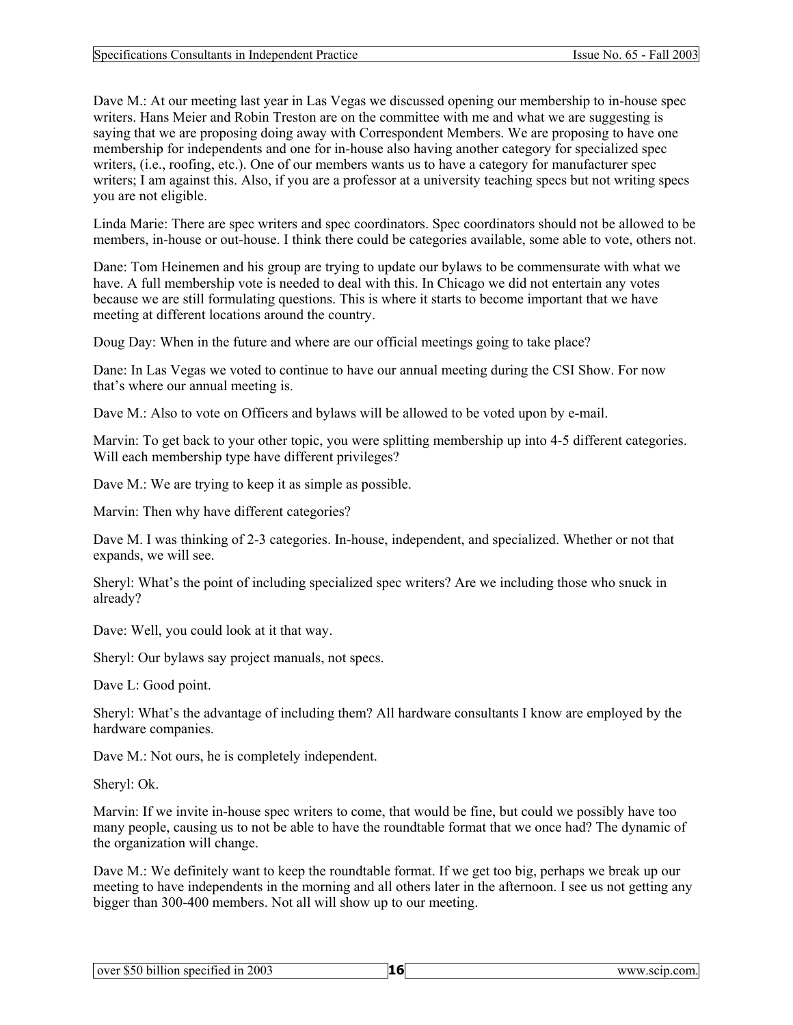Dave M.: At our meeting last year in Las Vegas we discussed opening our membership to in-house spec writers. Hans Meier and Robin Treston are on the committee with me and what we are suggesting is saying that we are proposing doing away with Correspondent Members. We are proposing to have one membership for independents and one for in-house also having another category for specialized spec writers, (i.e., roofing, etc.). One of our members wants us to have a category for manufacturer spec writers; I am against this. Also, if you are a professor at a university teaching specs but not writing specs you are not eligible.

Linda Marie: There are spec writers and spec coordinators. Spec coordinators should not be allowed to be members, in-house or out-house. I think there could be categories available, some able to vote, others not.

Dane: Tom Heinemen and his group are trying to update our bylaws to be commensurate with what we have. A full membership vote is needed to deal with this. In Chicago we did not entertain any votes because we are still formulating questions. This is where it starts to become important that we have meeting at different locations around the country.

Doug Day: When in the future and where are our official meetings going to take place?

Dane: In Las Vegas we voted to continue to have our annual meeting during the CSI Show. For now that's where our annual meeting is.

Dave M.: Also to vote on Officers and bylaws will be allowed to be voted upon by e-mail.

Marvin: To get back to your other topic, you were splitting membership up into 4-5 different categories. Will each membership type have different privileges?

Dave M.: We are trying to keep it as simple as possible.

Marvin: Then why have different categories?

Dave M. I was thinking of 2-3 categories. In-house, independent, and specialized. Whether or not that expands, we will see.

Sheryl: What's the point of including specialized spec writers? Are we including those who snuck in already?

Dave: Well, you could look at it that way.

Sheryl: Our bylaws say project manuals, not specs.

Dave L: Good point.

Sheryl: What's the advantage of including them? All hardware consultants I know are employed by the hardware companies.

Dave M.: Not ours, he is completely independent.

Sheryl: Ok.

Marvin: If we invite in-house spec writers to come, that would be fine, but could we possibly have too many people, causing us to not be able to have the roundtable format that we once had? The dynamic of the organization will change.

Dave M.: We definitely want to keep the roundtable format. If we get too big, perhaps we break up our meeting to have independents in the morning and all others later in the afternoon. I see us not getting any bigger than 300-400 members. Not all will show up to our meeting.

| $\overline{\phantom{a}}$<br>specified in $2003$<br>50<br>billion<br>over "<br>ூ. |  | www.scip.com. |
|----------------------------------------------------------------------------------|--|---------------|
|----------------------------------------------------------------------------------|--|---------------|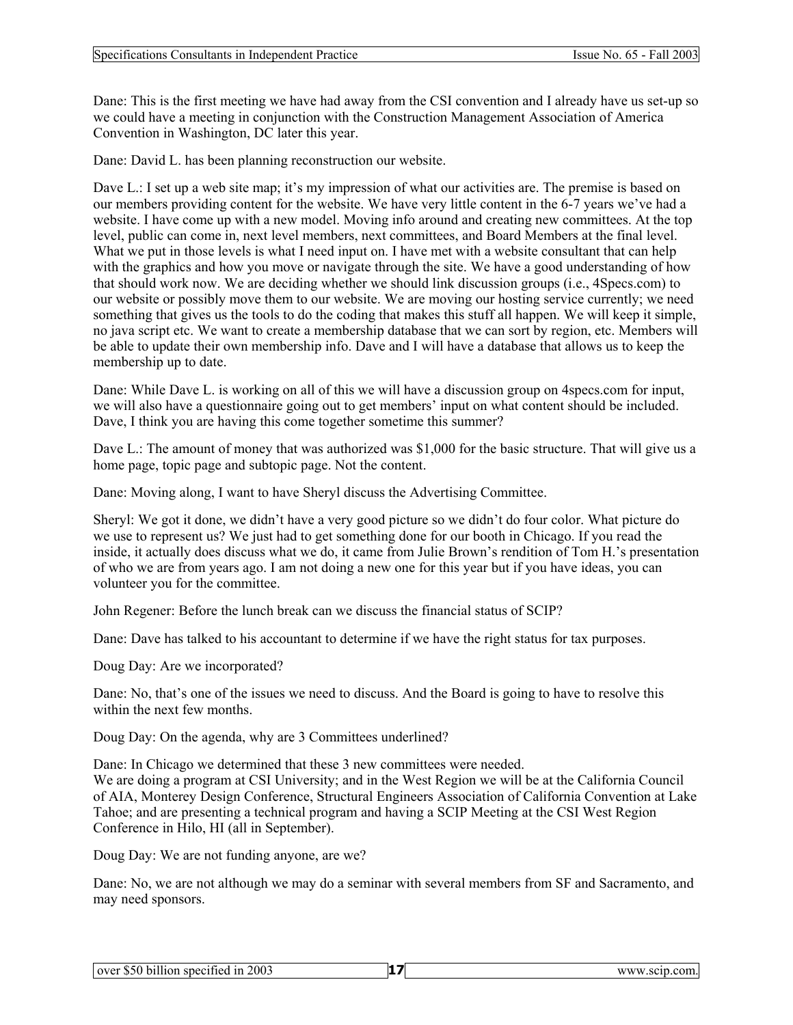Dane: This is the first meeting we have had away from the CSI convention and I already have us set-up so we could have a meeting in conjunction with the Construction Management Association of America Convention in Washington, DC later this year.

Dane: David L. has been planning reconstruction our website.

Dave L.: I set up a web site map; it's my impression of what our activities are. The premise is based on our members providing content for the website. We have very little content in the 6-7 years we've had a website. I have come up with a new model. Moving info around and creating new committees. At the top level, public can come in, next level members, next committees, and Board Members at the final level. What we put in those levels is what I need input on. I have met with a website consultant that can help with the graphics and how you move or navigate through the site. We have a good understanding of how that should work now. We are deciding whether we should link discussion groups (i.e., 4Specs.com) to our website or possibly move them to our website. We are moving our hosting service currently; we need something that gives us the tools to do the coding that makes this stuff all happen. We will keep it simple, no java script etc. We want to create a membership database that we can sort by region, etc. Members will be able to update their own membership info. Dave and I will have a database that allows us to keep the membership up to date.

Dane: While Dave L. is working on all of this we will have a discussion group on 4specs.com for input, we will also have a questionnaire going out to get members' input on what content should be included. Dave, I think you are having this come together sometime this summer?

Dave L.: The amount of money that was authorized was \$1,000 for the basic structure. That will give us a home page, topic page and subtopic page. Not the content.

Dane: Moving along, I want to have Sheryl discuss the Advertising Committee.

Sheryl: We got it done, we didn't have a very good picture so we didn't do four color. What picture do we use to represent us? We just had to get something done for our booth in Chicago. If you read the inside, it actually does discuss what we do, it came from Julie Brown's rendition of Tom H.'s presentation of who we are from years ago. I am not doing a new one for this year but if you have ideas, you can volunteer you for the committee.

John Regener: Before the lunch break can we discuss the financial status of SCIP?

Dane: Dave has talked to his accountant to determine if we have the right status for tax purposes.

Doug Day: Are we incorporated?

Dane: No, that's one of the issues we need to discuss. And the Board is going to have to resolve this within the next few months.

Doug Day: On the agenda, why are 3 Committees underlined?

Dane: In Chicago we determined that these 3 new committees were needed. We are doing a program at CSI University; and in the West Region we will be at the California Council of AIA, Monterey Design Conference, Structural Engineers Association of California Convention at Lake Tahoe; and are presenting a technical program and having a SCIP Meeting at the CSI West Region Conference in Hilo, HI (all in September).

Doug Day: We are not funding anyone, are we?

Dane: No, we are not although we may do a seminar with several members from SF and Sacramento, and may need sponsors.

| $\cdots$<br>lover \$50 billion<br>specified in 2003 | www.scip.com. |  |
|-----------------------------------------------------|---------------|--|
|                                                     |               |  |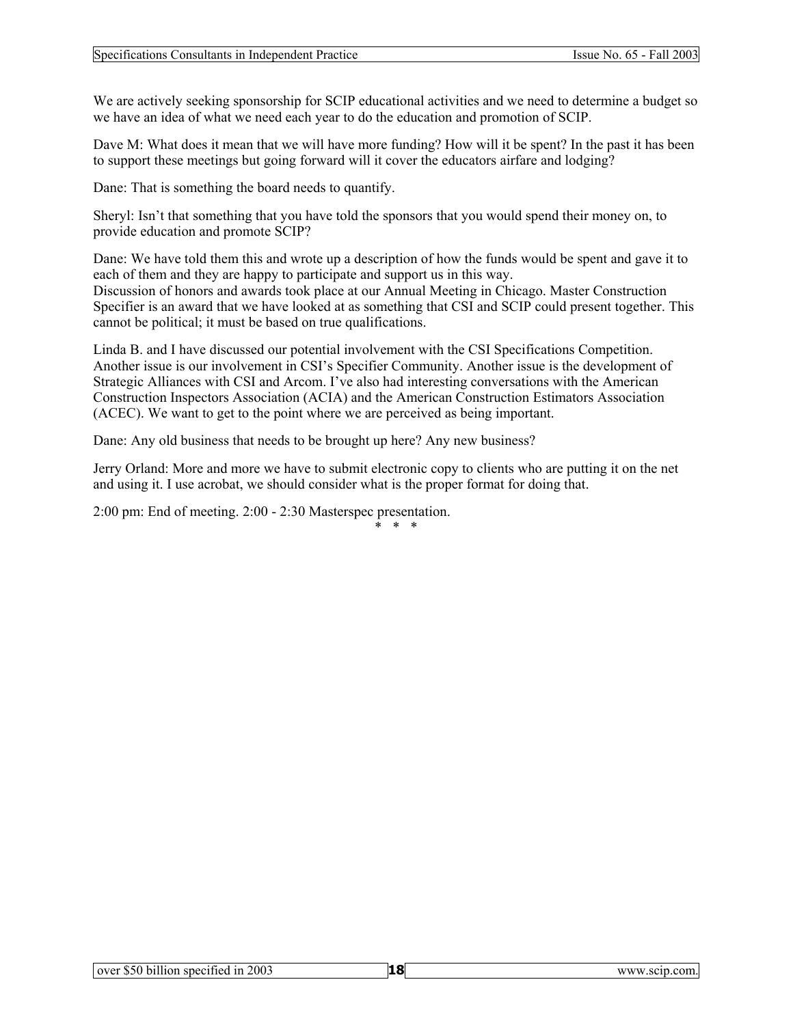We are actively seeking sponsorship for SCIP educational activities and we need to determine a budget so we have an idea of what we need each year to do the education and promotion of SCIP.

Dave M: What does it mean that we will have more funding? How will it be spent? In the past it has been to support these meetings but going forward will it cover the educators airfare and lodging?

Dane: That is something the board needs to quantify.

Sheryl: Isn't that something that you have told the sponsors that you would spend their money on, to provide education and promote SCIP?

Dane: We have told them this and wrote up a description of how the funds would be spent and gave it to each of them and they are happy to participate and support us in this way. Discussion of honors and awards took place at our Annual Meeting in Chicago. Master Construction Specifier is an award that we have looked at as something that CSI and SCIP could present together. This cannot be political; it must be based on true qualifications.

Linda B. and I have discussed our potential involvement with the CSI Specifications Competition. Another issue is our involvement in CSI's Specifier Community. Another issue is the development of Strategic Alliances with CSI and Arcom. I've also had interesting conversations with the American Construction Inspectors Association (ACIA) and the American Construction Estimators Association (ACEC). We want to get to the point where we are perceived as being important.

Dane: Any old business that needs to be brought up here? Any new business?

Jerry Orland: More and more we have to submit electronic copy to clients who are putting it on the net and using it. I use acrobat, we should consider what is the proper format for doing that.

2:00 pm: End of meeting. 2:00 - 2:30 Masterspec presentation.

### \* \* \*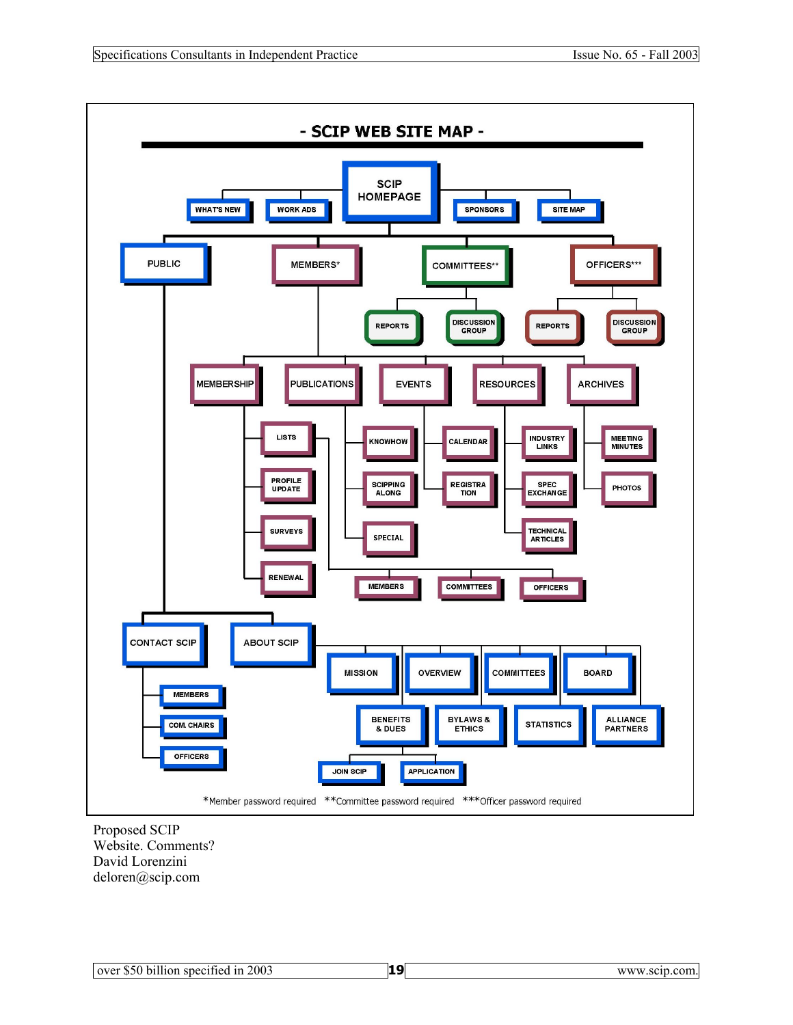

Proposed SCIP Website. Comments? David Lorenzini deloren@scip.com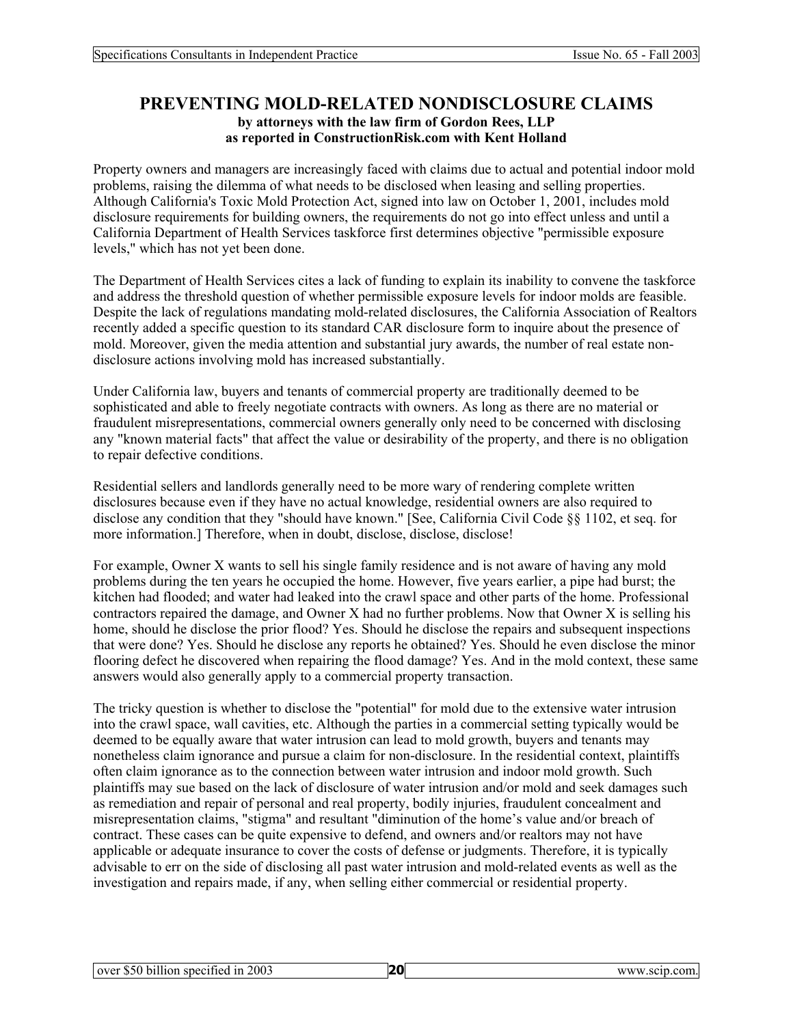# **PREVENTING MOLD-RELATED NONDISCLOSURE CLAIMS by attorneys with the law firm of Gordon Rees, LLP as reported in ConstructionRisk.com with Kent Holland**

Property owners and managers are increasingly faced with claims due to actual and potential indoor mold problems, raising the dilemma of what needs to be disclosed when leasing and selling properties. Although California's Toxic Mold Protection Act, signed into law on October 1, 2001, includes mold disclosure requirements for building owners, the requirements do not go into effect unless and until a California Department of Health Services taskforce first determines objective "permissible exposure levels," which has not yet been done.

The Department of Health Services cites a lack of funding to explain its inability to convene the taskforce and address the threshold question of whether permissible exposure levels for indoor molds are feasible. Despite the lack of regulations mandating mold-related disclosures, the California Association of Realtors recently added a specific question to its standard CAR disclosure form to inquire about the presence of mold. Moreover, given the media attention and substantial jury awards, the number of real estate nondisclosure actions involving mold has increased substantially.

Under California law, buyers and tenants of commercial property are traditionally deemed to be sophisticated and able to freely negotiate contracts with owners. As long as there are no material or fraudulent misrepresentations, commercial owners generally only need to be concerned with disclosing any "known material facts" that affect the value or desirability of the property, and there is no obligation to repair defective conditions.

Residential sellers and landlords generally need to be more wary of rendering complete written disclosures because even if they have no actual knowledge, residential owners are also required to disclose any condition that they "should have known." [See, California Civil Code §§ 1102, et seq. for more information.] Therefore, when in doubt, disclose, disclose, disclose!

For example, Owner X wants to sell his single family residence and is not aware of having any mold problems during the ten years he occupied the home. However, five years earlier, a pipe had burst; the kitchen had flooded; and water had leaked into the crawl space and other parts of the home. Professional contractors repaired the damage, and Owner X had no further problems. Now that Owner X is selling his home, should he disclose the prior flood? Yes. Should he disclose the repairs and subsequent inspections that were done? Yes. Should he disclose any reports he obtained? Yes. Should he even disclose the minor flooring defect he discovered when repairing the flood damage? Yes. And in the mold context, these same answers would also generally apply to a commercial property transaction.

The tricky question is whether to disclose the "potential" for mold due to the extensive water intrusion into the crawl space, wall cavities, etc. Although the parties in a commercial setting typically would be deemed to be equally aware that water intrusion can lead to mold growth, buyers and tenants may nonetheless claim ignorance and pursue a claim for non-disclosure. In the residential context, plaintiffs often claim ignorance as to the connection between water intrusion and indoor mold growth. Such plaintiffs may sue based on the lack of disclosure of water intrusion and/or mold and seek damages such as remediation and repair of personal and real property, bodily injuries, fraudulent concealment and misrepresentation claims, "stigma" and resultant "diminution of the home's value and/or breach of contract. These cases can be quite expensive to defend, and owners and/or realtors may not have applicable or adequate insurance to cover the costs of defense or judgments. Therefore, it is typically advisable to err on the side of disclosing all past water intrusion and mold-related events as well as the investigation and repairs made, if any, when selling either commercial or residential property.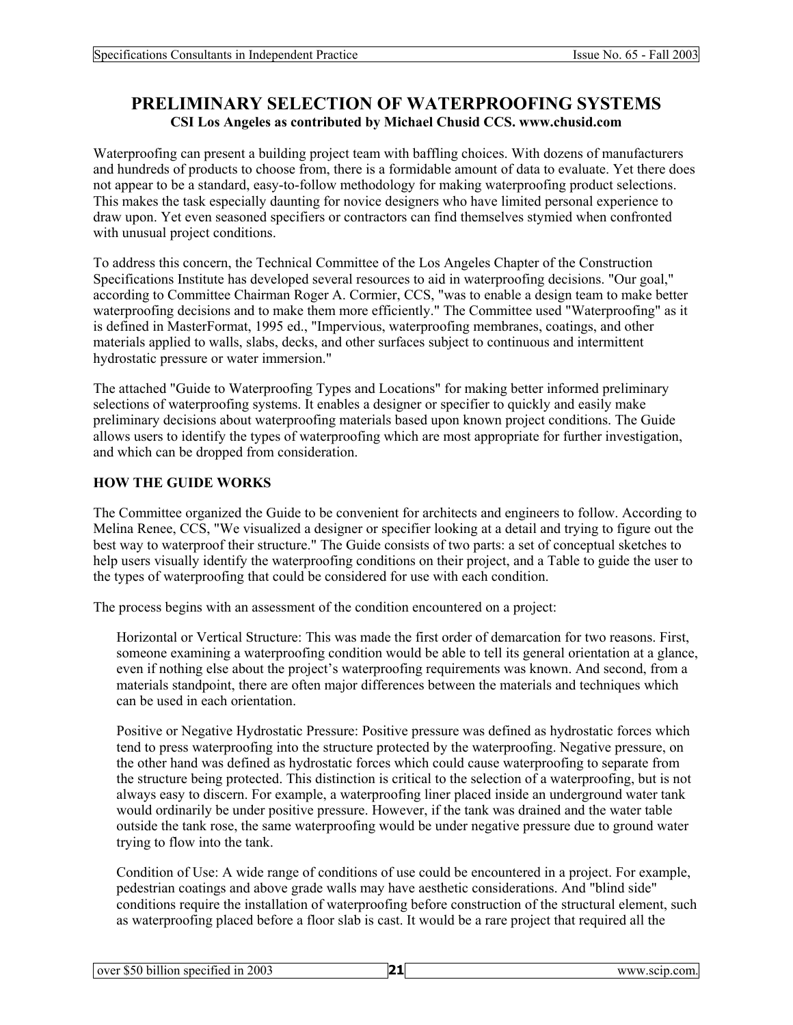# **PRELIMINARY SELECTION OF WATERPROOFING SYSTEMS CSI Los Angeles as contributed by Michael Chusid CCS. www.chusid.com**

Waterproofing can present a building project team with baffling choices. With dozens of manufacturers and hundreds of products to choose from, there is a formidable amount of data to evaluate. Yet there does not appear to be a standard, easy-to-follow methodology for making waterproofing product selections. This makes the task especially daunting for novice designers who have limited personal experience to draw upon. Yet even seasoned specifiers or contractors can find themselves stymied when confronted with unusual project conditions.

To address this concern, the Technical Committee of the Los Angeles Chapter of the Construction Specifications Institute has developed several resources to aid in waterproofing decisions. "Our goal," according to Committee Chairman Roger A. Cormier, CCS, "was to enable a design team to make better waterproofing decisions and to make them more efficiently." The Committee used "Waterproofing" as it is defined in MasterFormat, 1995 ed., "Impervious, waterproofing membranes, coatings, and other materials applied to walls, slabs, decks, and other surfaces subject to continuous and intermittent hydrostatic pressure or water immersion."

The attached "Guide to Waterproofing Types and Locations" for making better informed preliminary selections of waterproofing systems. It enables a designer or specifier to quickly and easily make preliminary decisions about waterproofing materials based upon known project conditions. The Guide allows users to identify the types of waterproofing which are most appropriate for further investigation, and which can be dropped from consideration.

### **HOW THE GUIDE WORKS**

The Committee organized the Guide to be convenient for architects and engineers to follow. According to Melina Renee, CCS, "We visualized a designer or specifier looking at a detail and trying to figure out the best way to waterproof their structure." The Guide consists of two parts: a set of conceptual sketches to help users visually identify the waterproofing conditions on their project, and a Table to guide the user to the types of waterproofing that could be considered for use with each condition.

The process begins with an assessment of the condition encountered on a project:

Horizontal or Vertical Structure: This was made the first order of demarcation for two reasons. First, someone examining a waterproofing condition would be able to tell its general orientation at a glance, even if nothing else about the project's waterproofing requirements was known. And second, from a materials standpoint, there are often major differences between the materials and techniques which can be used in each orientation.

Positive or Negative Hydrostatic Pressure: Positive pressure was defined as hydrostatic forces which tend to press waterproofing into the structure protected by the waterproofing. Negative pressure, on the other hand was defined as hydrostatic forces which could cause waterproofing to separate from the structure being protected. This distinction is critical to the selection of a waterproofing, but is not always easy to discern. For example, a waterproofing liner placed inside an underground water tank would ordinarily be under positive pressure. However, if the tank was drained and the water table outside the tank rose, the same waterproofing would be under negative pressure due to ground water trying to flow into the tank.

Condition of Use: A wide range of conditions of use could be encountered in a project. For example, pedestrian coatings and above grade walls may have aesthetic considerations. And "blind side" conditions require the installation of waterproofing before construction of the structural element, such as waterproofing placed before a floor slab is cast. It would be a rare project that required all the

| . \$50 billion<br>specified in 2003<br>over | ຳ- | www | .scip.com. |
|---------------------------------------------|----|-----|------------|
|---------------------------------------------|----|-----|------------|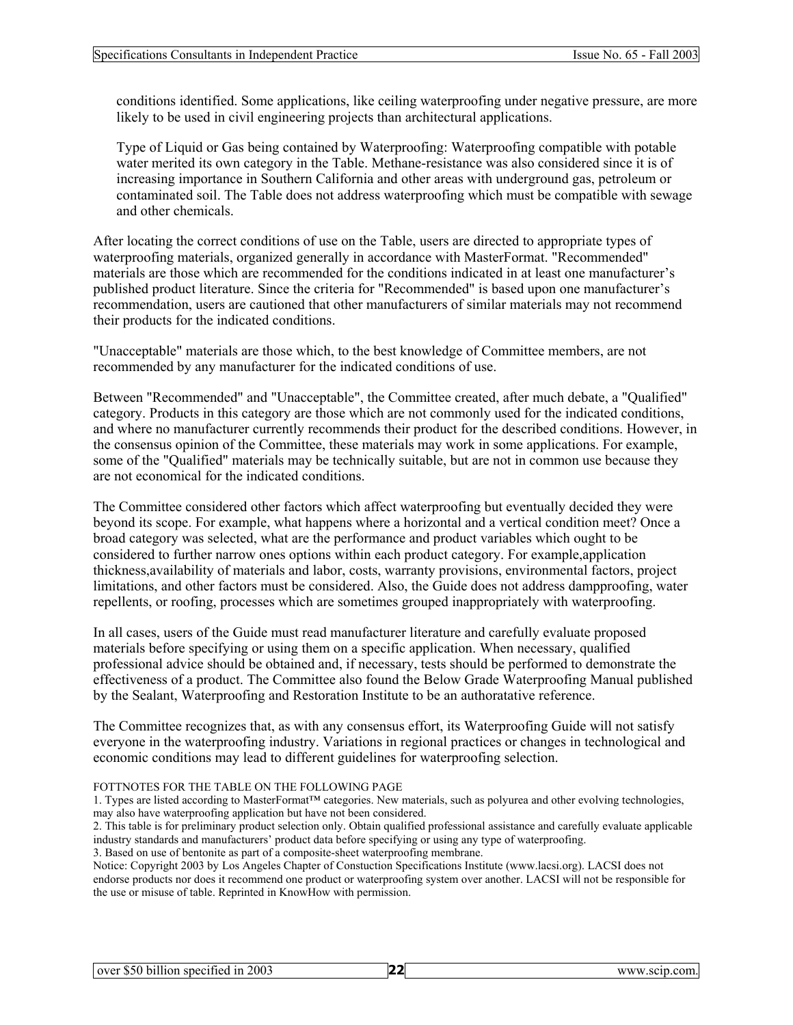conditions identified. Some applications, like ceiling waterproofing under negative pressure, are more likely to be used in civil engineering projects than architectural applications.

Type of Liquid or Gas being contained by Waterproofing: Waterproofing compatible with potable water merited its own category in the Table. Methane-resistance was also considered since it is of increasing importance in Southern California and other areas with underground gas, petroleum or contaminated soil. The Table does not address waterproofing which must be compatible with sewage and other chemicals.

After locating the correct conditions of use on the Table, users are directed to appropriate types of waterproofing materials, organized generally in accordance with MasterFormat. "Recommended" materials are those which are recommended for the conditions indicated in at least one manufacturer's published product literature. Since the criteria for "Recommended" is based upon one manufacturer's recommendation, users are cautioned that other manufacturers of similar materials may not recommend their products for the indicated conditions.

"Unacceptable" materials are those which, to the best knowledge of Committee members, are not recommended by any manufacturer for the indicated conditions of use.

Between "Recommended" and "Unacceptable", the Committee created, after much debate, a "Qualified" category. Products in this category are those which are not commonly used for the indicated conditions, and where no manufacturer currently recommends their product for the described conditions. However, in the consensus opinion of the Committee, these materials may work in some applications. For example, some of the "Qualified" materials may be technically suitable, but are not in common use because they are not economical for the indicated conditions.

The Committee considered other factors which affect waterproofing but eventually decided they were beyond its scope. For example, what happens where a horizontal and a vertical condition meet? Once a broad category was selected, what are the performance and product variables which ought to be considered to further narrow ones options within each product category. For example,application thickness,availability of materials and labor, costs, warranty provisions, environmental factors, project limitations, and other factors must be considered. Also, the Guide does not address dampproofing, water repellents, or roofing, processes which are sometimes grouped inappropriately with waterproofing.

In all cases, users of the Guide must read manufacturer literature and carefully evaluate proposed materials before specifying or using them on a specific application. When necessary, qualified professional advice should be obtained and, if necessary, tests should be performed to demonstrate the effectiveness of a product. The Committee also found the Below Grade Waterproofing Manual published by the Sealant, Waterproofing and Restoration Institute to be an authoratative reference.

The Committee recognizes that, as with any consensus effort, its Waterproofing Guide will not satisfy everyone in the waterproofing industry. Variations in regional practices or changes in technological and economic conditions may lead to different guidelines for waterproofing selection.

#### FOTTNOTES FOR THE TABLE ON THE FOLLOWING PAGE

```
1. Types are listed according to MasterFormat™ categories. New materials, such as polyurea and other evolving technologies, 
may also have waterproofing application but have not been considered.
```
2. This table is for preliminary product selection only. Obtain qualified professional assistance and carefully evaluate applicable industry standards and manufacturers' product data before specifying or using any type of waterproofing.

3. Based on use of bentonite as part of a composite-sheet waterproofing membrane.

Notice: Copyright 2003 by Los Angeles Chapter of Constuction Specifications Institute (www.lacsi.org). LACSI does not endorse products nor does it recommend one product or waterproofing system over another. LACSI will not be responsible for the use or misuse of table. Reprinted in KnowHow with permission.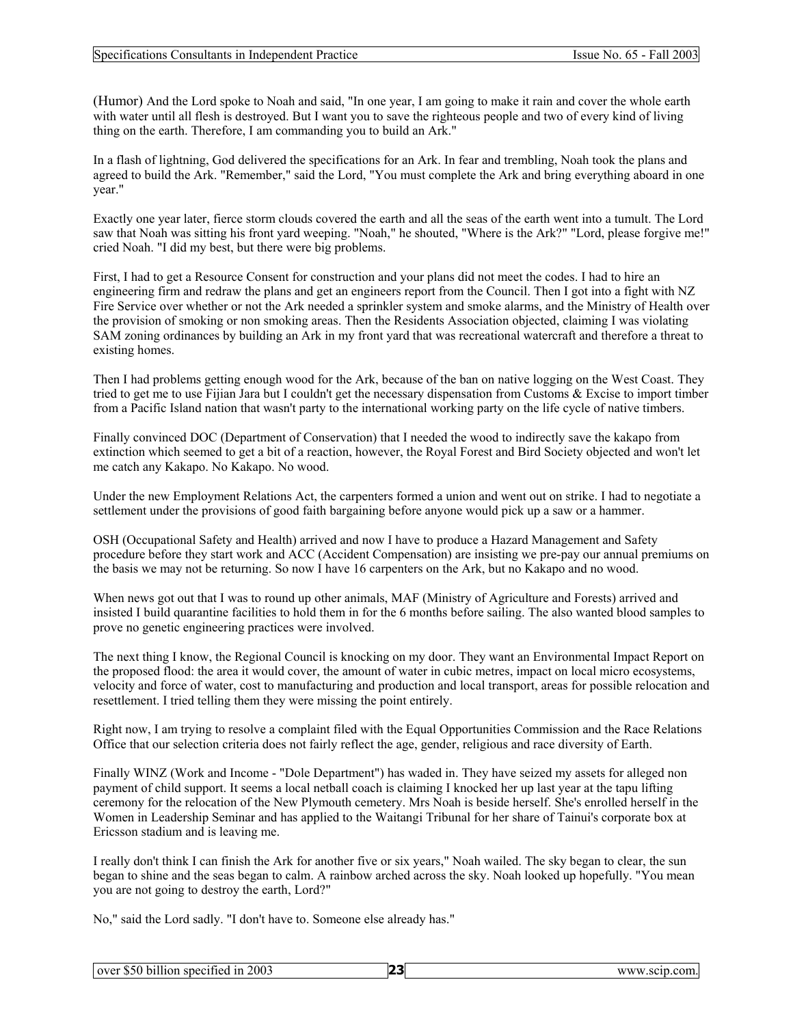#### Specifications Consultants in Independent Practice Issue No. 65 - Fall 2003

(Humor) And the Lord spoke to Noah and said, "In one year, I am going to make it rain and cover the whole earth with water until all flesh is destroved. But I want you to save the righteous people and two of every kind of living thing on the earth. Therefore, I am commanding you to build an Ark."

In a flash of lightning, God delivered the specifications for an Ark. In fear and trembling, Noah took the plans and agreed to build the Ark. "Remember," said the Lord, "You must complete the Ark and bring everything aboard in one year."

Exactly one year later, fierce storm clouds covered the earth and all the seas of the earth went into a tumult. The Lord saw that Noah was sitting his front yard weeping. "Noah," he shouted, "Where is the Ark?" "Lord, please forgive me!" cried Noah. "I did my best, but there were big problems.

First, I had to get a Resource Consent for construction and your plans did not meet the codes. I had to hire an engineering firm and redraw the plans and get an engineers report from the Council. Then I got into a fight with NZ Fire Service over whether or not the Ark needed a sprinkler system and smoke alarms, and the Ministry of Health over the provision of smoking or non smoking areas. Then the Residents Association objected, claiming I was violating SAM zoning ordinances by building an Ark in my front yard that was recreational watercraft and therefore a threat to existing homes.

Then I had problems getting enough wood for the Ark, because of the ban on native logging on the West Coast. They tried to get me to use Fijian Jara but I couldn't get the necessary dispensation from Customs & Excise to import timber from a Pacific Island nation that wasn't party to the international working party on the life cycle of native timbers.

Finally convinced DOC (Department of Conservation) that I needed the wood to indirectly save the kakapo from extinction which seemed to get a bit of a reaction, however, the Royal Forest and Bird Society objected and won't let me catch any Kakapo. No Kakapo. No wood.

Under the new Employment Relations Act, the carpenters formed a union and went out on strike. I had to negotiate a settlement under the provisions of good faith bargaining before anyone would pick up a saw or a hammer.

OSH (Occupational Safety and Health) arrived and now I have to produce a Hazard Management and Safety procedure before they start work and ACC (Accident Compensation) are insisting we pre-pay our annual premiums on the basis we may not be returning. So now I have 16 carpenters on the Ark, but no Kakapo and no wood.

When news got out that I was to round up other animals, MAF (Ministry of Agriculture and Forests) arrived and insisted I build quarantine facilities to hold them in for the 6 months before sailing. The also wanted blood samples to prove no genetic engineering practices were involved.

The next thing I know, the Regional Council is knocking on my door. They want an Environmental Impact Report on the proposed flood: the area it would cover, the amount of water in cubic metres, impact on local micro ecosystems, velocity and force of water, cost to manufacturing and production and local transport, areas for possible relocation and resettlement. I tried telling them they were missing the point entirely.

Right now, I am trying to resolve a complaint filed with the Equal Opportunities Commission and the Race Relations Office that our selection criteria does not fairly reflect the age, gender, religious and race diversity of Earth.

Finally WINZ (Work and Income - "Dole Department") has waded in. They have seized my assets for alleged non payment of child support. It seems a local netball coach is claiming I knocked her up last year at the tapu lifting ceremony for the relocation of the New Plymouth cemetery. Mrs Noah is beside herself. She's enrolled herself in the Women in Leadership Seminar and has applied to the Waitangi Tribunal for her share of Tainui's corporate box at Ericsson stadium and is leaving me.

I really don't think I can finish the Ark for another five or six years," Noah wailed. The sky began to clear, the sun began to shine and the seas began to calm. A rainbow arched across the sky. Noah looked up hopefully. "You mean you are not going to destroy the earth, Lord?"

No," said the Lord sadly. "I don't have to. Someone else already has."

| 23<br>over \$50 billion specified in 2003 | www.scip.com. |
|-------------------------------------------|---------------|
|-------------------------------------------|---------------|